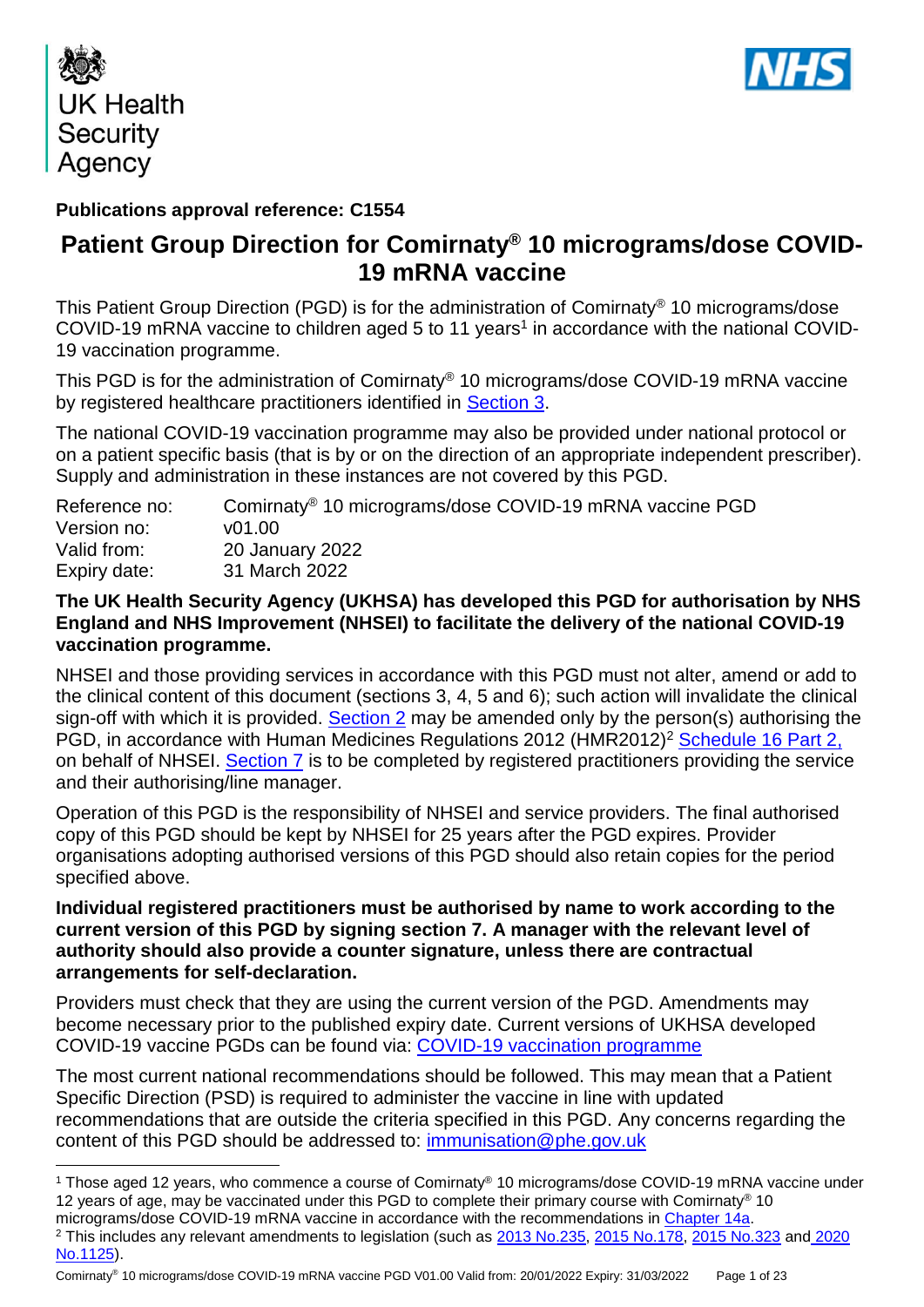



# **Publications approval reference: C1554**

# **Patient Group Direction for Comirnaty® 10 micrograms/dose COVID-19 mRNA vaccine**

This Patient Group Direction (PGD) is for the administration of Comirnaty® 10 micrograms/dose COVID-19 mRNA vaccine to children aged 5 to 11 years<sup>1</sup> in accordance with the national COVID-19 vaccination programme.

This PGD is for the administration of Comirnaty® 10 micrograms/dose COVID-19 mRNA vaccine by registered healthcare practitioners identified in [Section 3.](#page-5-0)

The national COVID-19 vaccination programme may also be provided under national protocol or on a patient specific basis (that is by or on the direction of an appropriate independent prescriber). Supply and administration in these instances are not covered by this PGD.

| Reference no: | Comirnaty <sup>®</sup> 10 micrograms/dose COVID-19 mRNA vaccine PGD |
|---------------|---------------------------------------------------------------------|
| Version no:   | v01.00                                                              |
| Valid from:   | 20 January 2022                                                     |
| Expiry date:  | 31 March 2022                                                       |

### **The UK Health Security Agency (UKHSA) has developed this PGD for authorisation by NHS England and NHS Improvement (NHSEI) to facilitate the delivery of the national COVID-19 vaccination programme.**

NHSEI and those providing services in accordance with this PGD must not alter, amend or add to the clinical content of this document (sections 3, 4, 5 and 6); such action will invalidate the clinical sign-off with which it is provided. [Section 2](#page-3-0) may be amended only by the person(s) authorising the PGD, in accordance with Human Medicines Regulations 2012 (HMR2012)<sup>2</sup> [Schedule 16 Part 2,](http://www.legislation.gov.uk/uksi/2012/1916/schedule/16/part/2/made) on behalf of NHSEI. [Section 7](#page-20-0) is to be completed by registered practitioners providing the service and their authorising/line manager.

Operation of this PGD is the responsibility of NHSEI and service providers. The final authorised copy of this PGD should be kept by NHSEI for 25 years after the PGD expires. Provider organisations adopting authorised versions of this PGD should also retain copies for the period specified above.

### **Individual registered practitioners must be authorised by name to work according to the current version of this PGD by signing section 7. A manager with the relevant level of authority should also provide a counter signature, unless there are contractual arrangements for self-declaration.**

Providers must check that they are using the current version of the PGD. Amendments may become necessary prior to the published expiry date. Current versions of UKHSA developed COVID-19 vaccine PGDs can be found via: [COVID-19 vaccination programme](https://www.gov.uk/government/collections/covid-19-vaccination-programme)

The most current national recommendations should be followed. This may mean that a Patient Specific Direction (PSD) is required to administer the vaccine in line with updated recommendations that are outside the criteria specified in this PGD. Any concerns regarding the content of this PGD should be addressed to: [immunisation@phe.gov.uk](mailto:immunisation@phe.gov.uk)

<sup>&</sup>lt;u>.</u> <sup>1</sup> Those aged 12 years, who commence a course of Comirnaty® 10 micrograms/dose COVID-19 mRNA vaccine under 12 years of age, may be vaccinated under this PGD to complete their primary course with Comirnaty® 10 micrograms/dose COVID-19 mRNA vaccine in accordance with the recommendations in [Chapter 14a.](https://www.gov.uk/government/publications/covid-19-the-green-book-chapter-14a)

<sup>&</sup>lt;sup>2</sup> This includes any relevant amendments to legislation (such as [2013 No.235,](http://www.legislation.gov.uk/uksi/2013/235/contents/made) [2015 No.178,](http://www.legislation.gov.uk/nisr/2015/178/contents/made) [2015 No.323](http://www.legislation.gov.uk/uksi/2015/323/contents/made) and 2020 [No.1125\)](https://www.legislation.gov.uk/uksi/2020/1125/contents/made).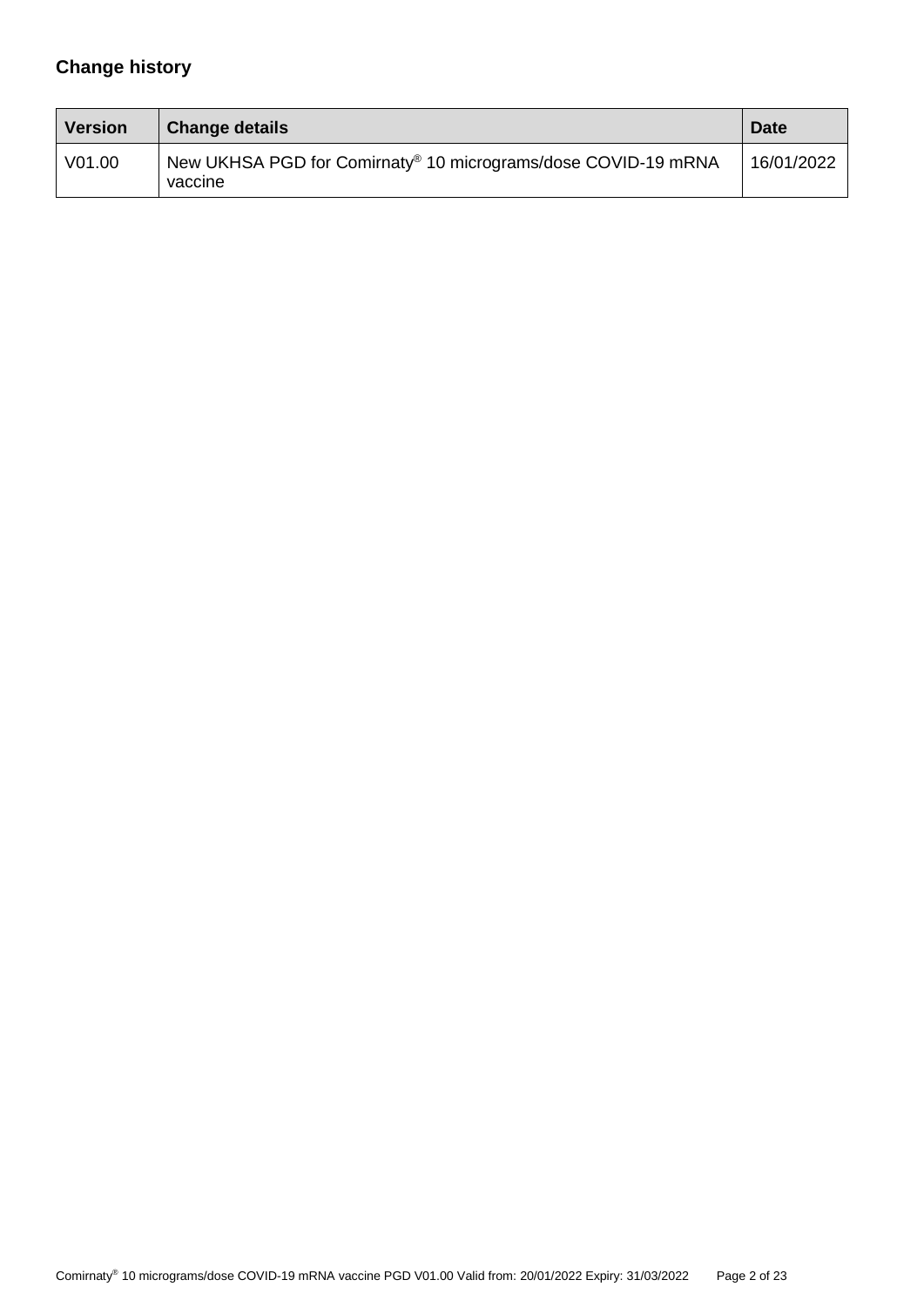# **Change history**

| <b>Version</b> | <b>Change details</b>                                                                | <b>Date</b> |
|----------------|--------------------------------------------------------------------------------------|-------------|
| V01.00         | New UKHSA PGD for Comirnaty <sup>®</sup> 10 micrograms/dose COVID-19 mRNA<br>vaccine | 16/01/2022  |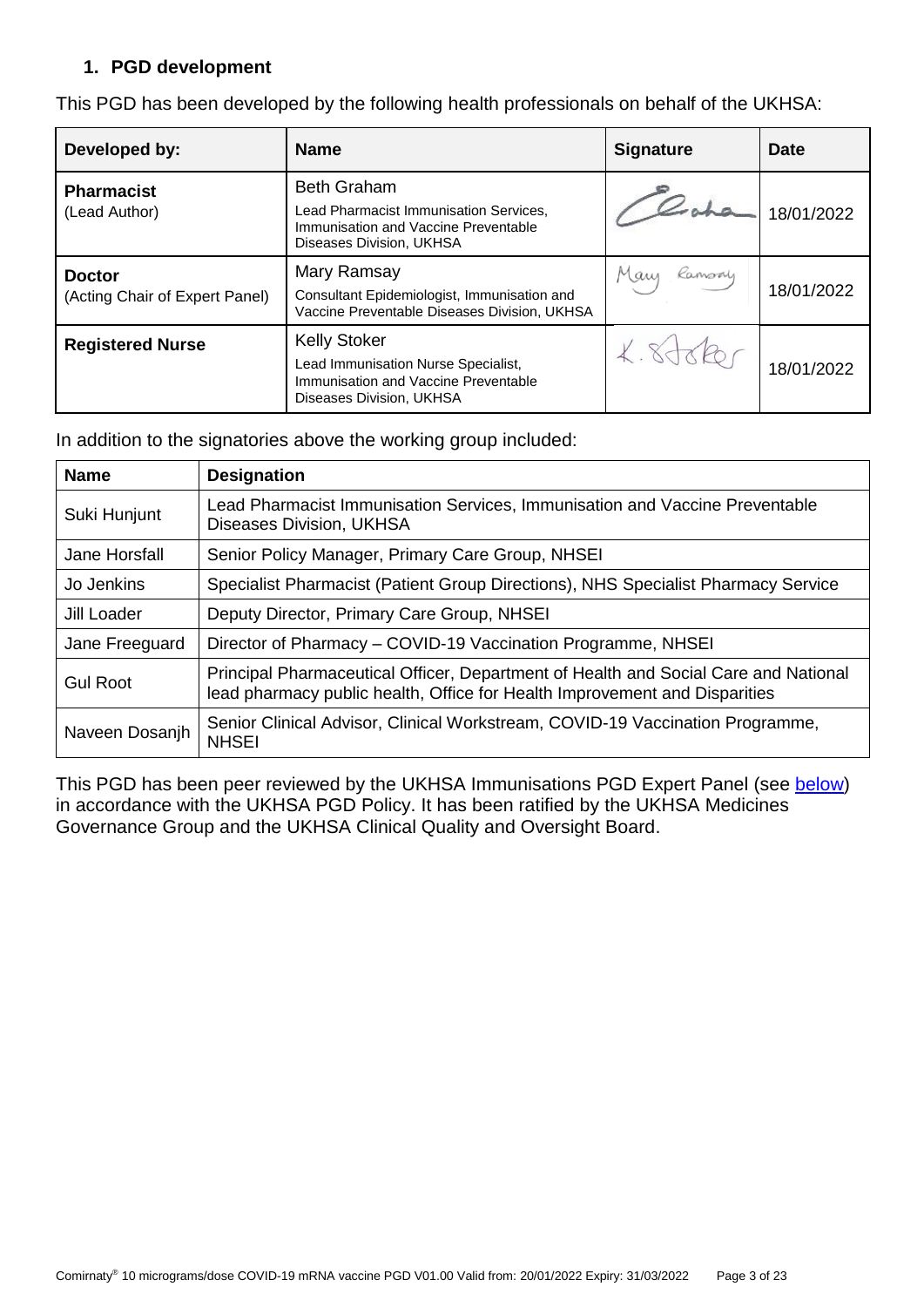### **1. PGD development**

| Developed by:                                   | <b>Name</b>                                                                                                                      | <b>Signature</b> | <b>Date</b> |
|-------------------------------------------------|----------------------------------------------------------------------------------------------------------------------------------|------------------|-------------|
| <b>Pharmacist</b><br>(Lead Author)              | <b>Beth Graham</b><br>Lead Pharmacist Immunisation Services,<br>Immunisation and Vaccine Preventable<br>Diseases Division, UKHSA |                  | 18/01/2022  |
| <b>Doctor</b><br>(Acting Chair of Expert Panel) | Mary Ramsay<br>Consultant Epidemiologist, Immunisation and<br>Vaccine Preventable Diseases Division, UKHSA                       | Many<br>Ramsoy   | 18/01/2022  |
| <b>Registered Nurse</b>                         | <b>Kelly Stoker</b><br>Lead Immunisation Nurse Specialist,<br>Immunisation and Vaccine Preventable<br>Diseases Division, UKHSA   |                  | 18/01/2022  |

This PGD has been developed by the following health professionals on behalf of the UKHSA:

In addition to the signatories above the working group included:

| <b>Name</b>     | <b>Designation</b>                                                                                                                                                |
|-----------------|-------------------------------------------------------------------------------------------------------------------------------------------------------------------|
| Suki Hunjunt    | Lead Pharmacist Immunisation Services, Immunisation and Vaccine Preventable<br>Diseases Division, UKHSA                                                           |
| Jane Horsfall   | Senior Policy Manager, Primary Care Group, NHSEI                                                                                                                  |
| Jo Jenkins      | Specialist Pharmacist (Patient Group Directions), NHS Specialist Pharmacy Service                                                                                 |
| Jill Loader     | Deputy Director, Primary Care Group, NHSEI                                                                                                                        |
| Jane Freeguard  | Director of Pharmacy - COVID-19 Vaccination Programme, NHSEI                                                                                                      |
| <b>Gul Root</b> | Principal Pharmaceutical Officer, Department of Health and Social Care and National<br>lead pharmacy public health, Office for Health Improvement and Disparities |
| Naveen Dosanjh  | Senior Clinical Advisor, Clinical Workstream, COVID-19 Vaccination Programme,<br><b>NHSEI</b>                                                                     |

This PGD has been peer reviewed by the UKHSA Immunisations PGD Expert Panel (see [below\)](#page-3-1) in accordance with the UKHSA PGD Policy. It has been ratified by the UKHSA Medicines Governance Group and the UKHSA Clinical Quality and Oversight Board.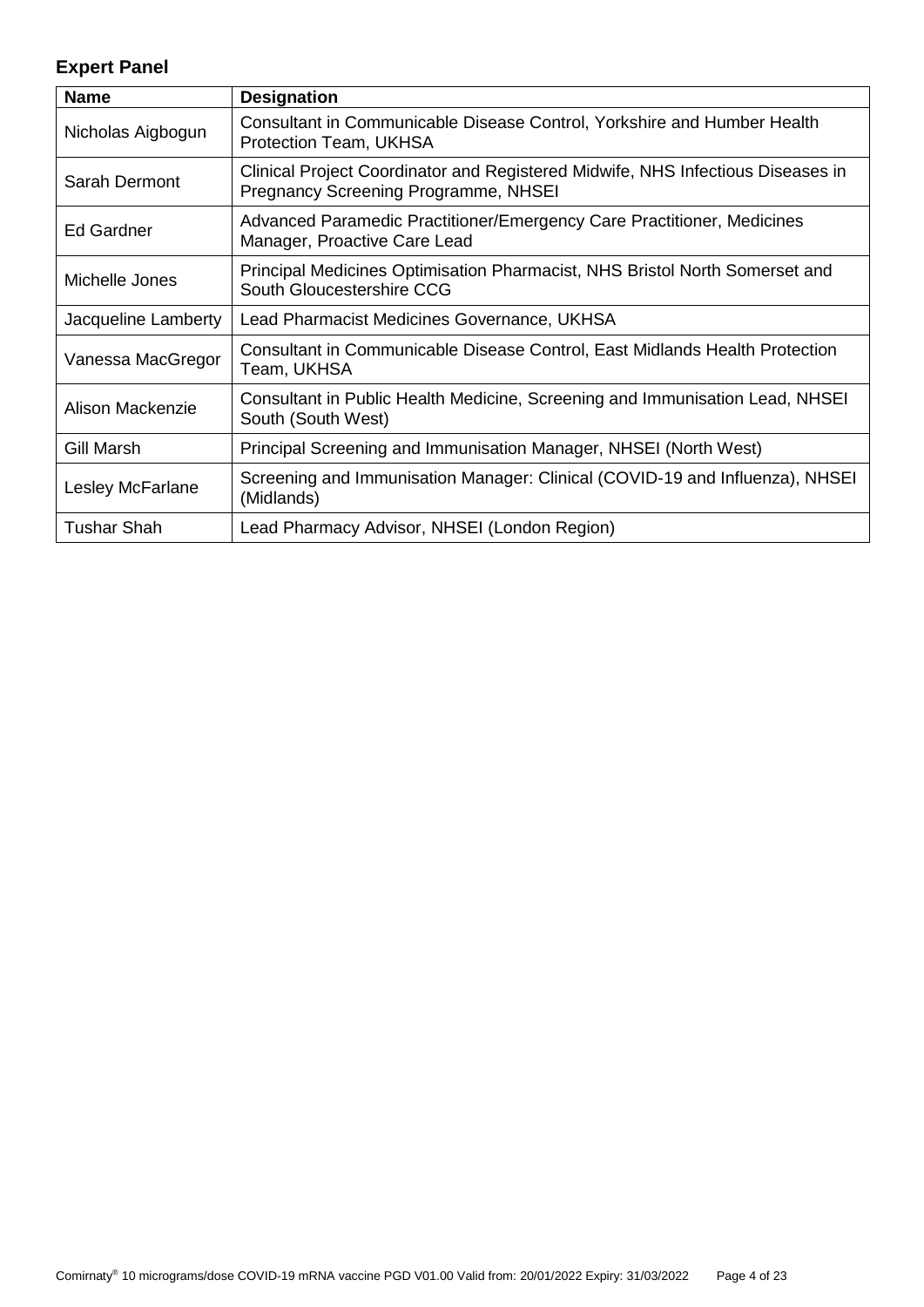# <span id="page-3-1"></span>**Expert Panel**

<span id="page-3-0"></span>

| <b>Name</b>         | <b>Designation</b>                                                                                                      |
|---------------------|-------------------------------------------------------------------------------------------------------------------------|
| Nicholas Aigbogun   | Consultant in Communicable Disease Control, Yorkshire and Humber Health<br>Protection Team, UKHSA                       |
| Sarah Dermont       | Clinical Project Coordinator and Registered Midwife, NHS Infectious Diseases in<br>Pregnancy Screening Programme, NHSEI |
| Ed Gardner          | Advanced Paramedic Practitioner/Emergency Care Practitioner, Medicines<br>Manager, Proactive Care Lead                  |
| Michelle Jones      | Principal Medicines Optimisation Pharmacist, NHS Bristol North Somerset and<br>South Gloucestershire CCG                |
| Jacqueline Lamberty | Lead Pharmacist Medicines Governance, UKHSA                                                                             |
| Vanessa MacGregor   | Consultant in Communicable Disease Control, East Midlands Health Protection<br>Team, UKHSA                              |
| Alison Mackenzie    | Consultant in Public Health Medicine, Screening and Immunisation Lead, NHSEI<br>South (South West)                      |
| Gill Marsh          | Principal Screening and Immunisation Manager, NHSEI (North West)                                                        |
| Lesley McFarlane    | Screening and Immunisation Manager: Clinical (COVID-19 and Influenza), NHSEI<br>(Midlands)                              |
| Tushar Shah         | Lead Pharmacy Advisor, NHSEI (London Region)                                                                            |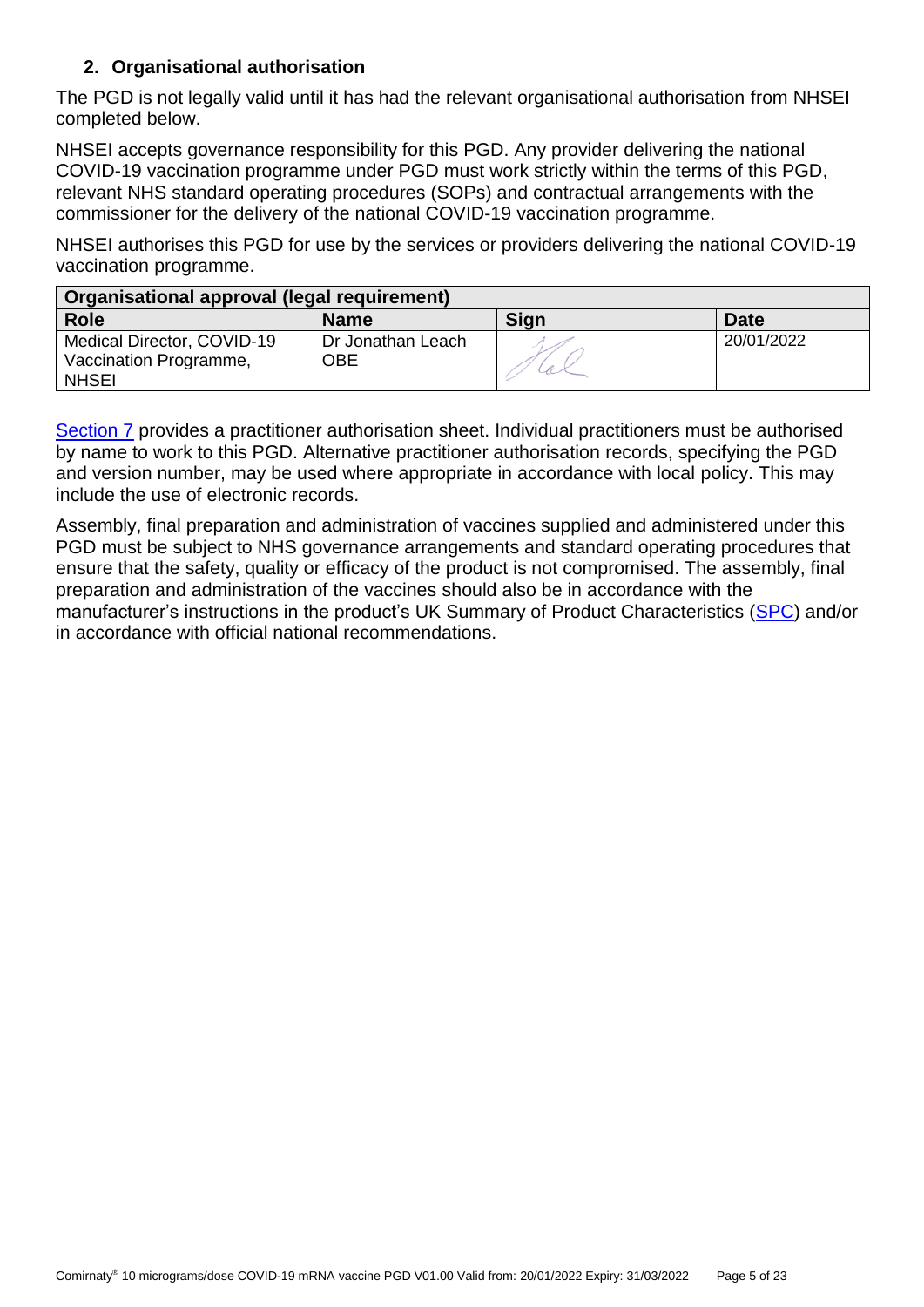# **2. Organisational authorisation**

The PGD is not legally valid until it has had the relevant organisational authorisation from NHSEI completed below.

NHSEI accepts governance responsibility for this PGD. Any provider delivering the national COVID-19 vaccination programme under PGD must work strictly within the terms of this PGD, relevant NHS standard operating procedures (SOPs) and contractual arrangements with the commissioner for the delivery of the national COVID-19 vaccination programme.

NHSEI authorises this PGD for use by the services or providers delivering the national COVID-19 vaccination programme.

| Organisational approval (legal requirement)                          |                          |      |             |
|----------------------------------------------------------------------|--------------------------|------|-------------|
| <b>Role</b>                                                          | <b>Name</b>              | Sign | <b>Date</b> |
| Medical Director, COVID-19<br>Vaccination Programme,<br><b>NHSEI</b> | Dr Jonathan Leach<br>OBE |      | 20/01/2022  |

[Section 7](#page-20-0) provides a practitioner authorisation sheet. Individual practitioners must be authorised by name to work to this PGD. Alternative practitioner authorisation records, specifying the PGD and version number, may be used where appropriate in accordance with local policy. This may include the use of electronic records.

Assembly, final preparation and administration of vaccines supplied and administered under this PGD must be subject to NHS governance arrangements and standard operating procedures that ensure that the safety, quality or efficacy of the product is not compromised. The assembly, final preparation and administration of the vaccines should also be in accordance with the manufacturer's instructions in the product's UK Summary of Product Characteristics [\(SPC\)](https://www.medicines.org.uk/emc/product/13134/smpc) and/or in accordance with official national recommendations.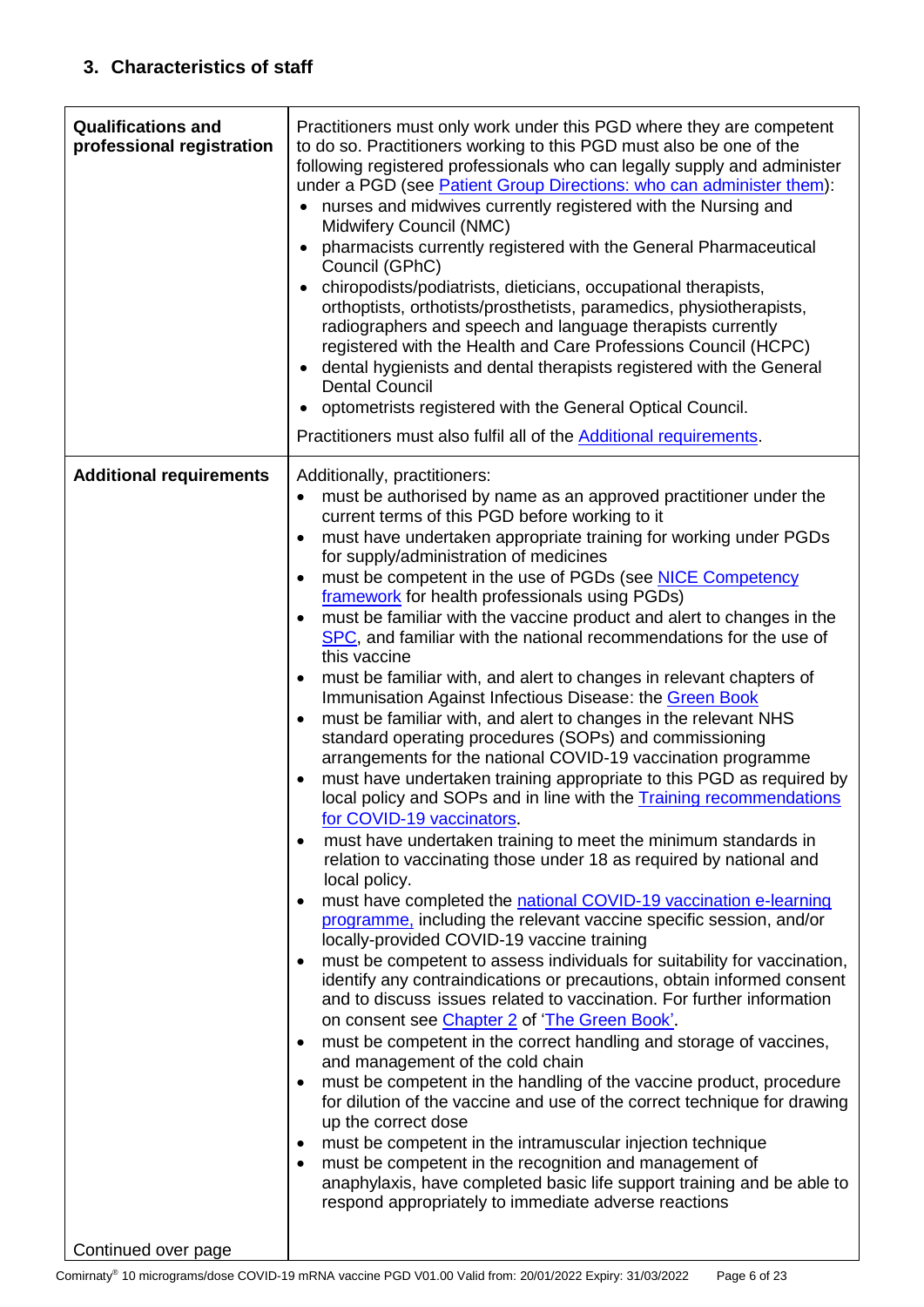<span id="page-5-1"></span><span id="page-5-0"></span>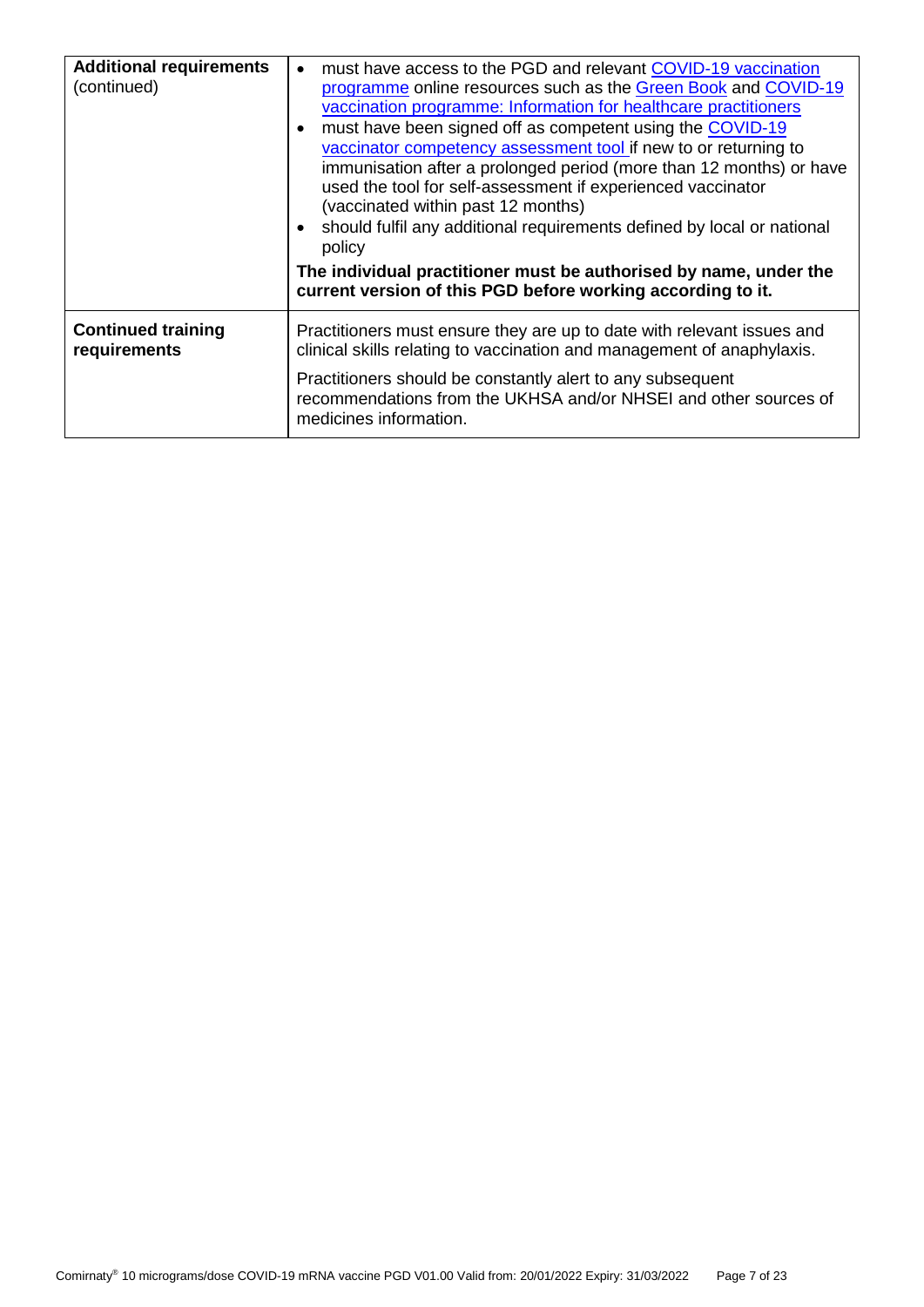| <b>Additional requirements</b><br>(continued) | must have access to the PGD and relevant COVID-19 vaccination<br>$\bullet$<br>programme online resources such as the Green Book and COVID-19<br>vaccination programme: Information for healthcare practitioners<br>must have been signed off as competent using the COVID-19<br>vaccinator competency assessment tool if new to or returning to<br>immunisation after a prolonged period (more than 12 months) or have<br>used the tool for self-assessment if experienced vaccinator<br>(vaccinated within past 12 months)<br>should fulfil any additional requirements defined by local or national<br>policy<br>The individual practitioner must be authorised by name, under the<br>current version of this PGD before working according to it. |
|-----------------------------------------------|-----------------------------------------------------------------------------------------------------------------------------------------------------------------------------------------------------------------------------------------------------------------------------------------------------------------------------------------------------------------------------------------------------------------------------------------------------------------------------------------------------------------------------------------------------------------------------------------------------------------------------------------------------------------------------------------------------------------------------------------------------|
| <b>Continued training</b><br>requirements     | Practitioners must ensure they are up to date with relevant issues and<br>clinical skills relating to vaccination and management of anaphylaxis.<br>Practitioners should be constantly alert to any subsequent<br>recommendations from the UKHSA and/or NHSEI and other sources of                                                                                                                                                                                                                                                                                                                                                                                                                                                                  |
|                                               | medicines information.                                                                                                                                                                                                                                                                                                                                                                                                                                                                                                                                                                                                                                                                                                                              |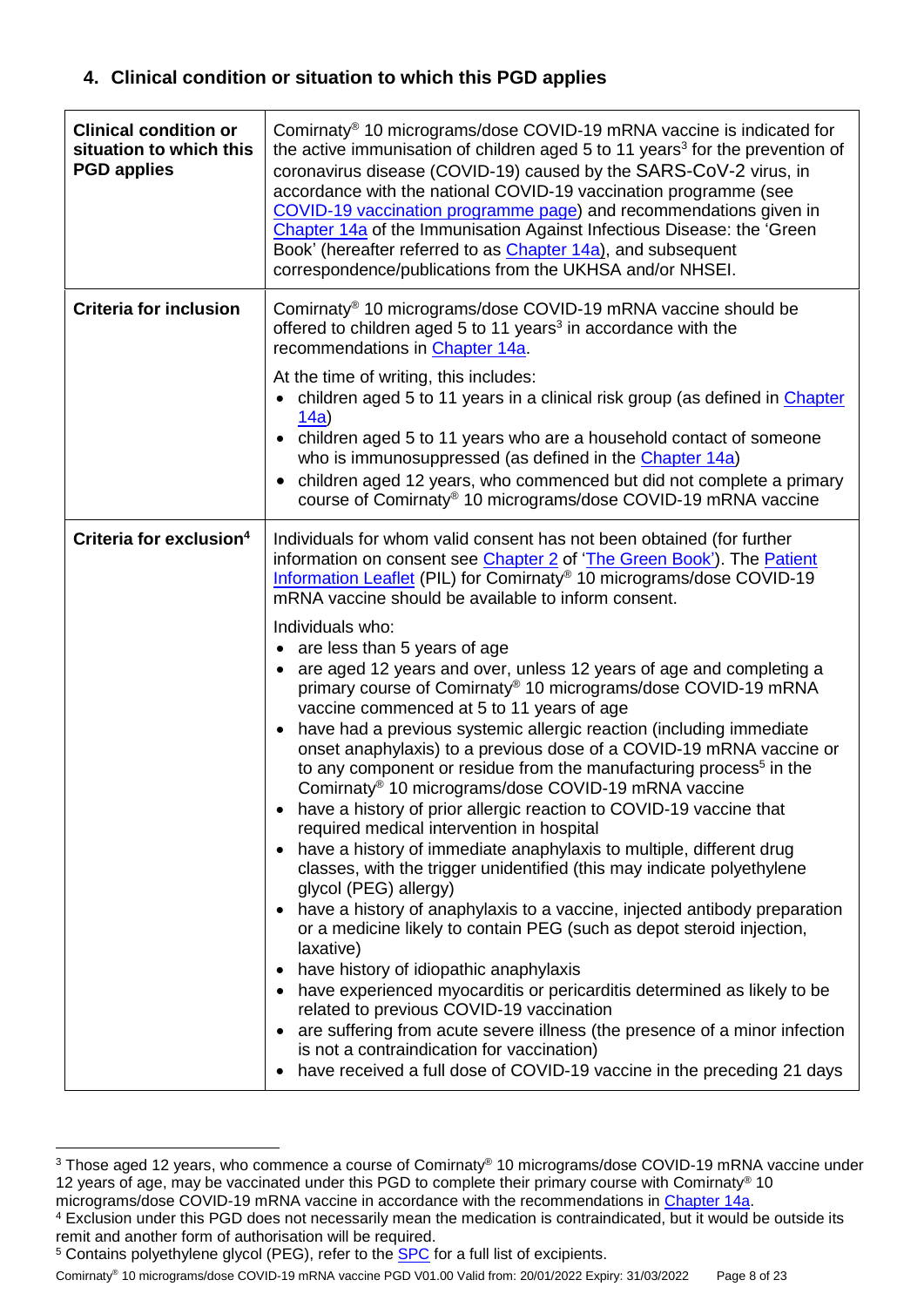# <span id="page-7-0"></span>**4. Clinical condition or situation to which this PGD applies**

| <b>Clinical condition or</b><br>situation to which this<br><b>PGD applies</b> | Comirnaty <sup>®</sup> 10 micrograms/dose COVID-19 mRNA vaccine is indicated for<br>the active immunisation of children aged 5 to 11 years <sup>3</sup> for the prevention of<br>coronavirus disease (COVID-19) caused by the SARS-CoV-2 virus, in<br>accordance with the national COVID-19 vaccination programme (see<br>COVID-19 vaccination programme page) and recommendations given in<br>Chapter 14a of the Immunisation Against Infectious Disease: the 'Green<br>Book' (hereafter referred to as Chapter 14a), and subsequent<br>correspondence/publications from the UKHSA and/or NHSEI.                                                                                                                                                                                                                                                                                                                                                                                                                                                                                                                                                                                                                                                                                                                                                                                                                                                                                                                                                                                                                                                                                                                                   |
|-------------------------------------------------------------------------------|-------------------------------------------------------------------------------------------------------------------------------------------------------------------------------------------------------------------------------------------------------------------------------------------------------------------------------------------------------------------------------------------------------------------------------------------------------------------------------------------------------------------------------------------------------------------------------------------------------------------------------------------------------------------------------------------------------------------------------------------------------------------------------------------------------------------------------------------------------------------------------------------------------------------------------------------------------------------------------------------------------------------------------------------------------------------------------------------------------------------------------------------------------------------------------------------------------------------------------------------------------------------------------------------------------------------------------------------------------------------------------------------------------------------------------------------------------------------------------------------------------------------------------------------------------------------------------------------------------------------------------------------------------------------------------------------------------------------------------------|
| <b>Criteria for inclusion</b>                                                 | Comirnaty <sup>®</sup> 10 micrograms/dose COVID-19 mRNA vaccine should be<br>offered to children aged 5 to 11 years <sup>3</sup> in accordance with the<br>recommendations in Chapter 14a.<br>At the time of writing, this includes:<br>• children aged 5 to 11 years in a clinical risk group (as defined in Chapter<br>14a)<br>• children aged 5 to 11 years who are a household contact of someone<br>who is immunosuppressed (as defined in the Chapter 14a)<br>children aged 12 years, who commenced but did not complete a primary<br>$\bullet$<br>course of Comirnaty® 10 micrograms/dose COVID-19 mRNA vaccine                                                                                                                                                                                                                                                                                                                                                                                                                                                                                                                                                                                                                                                                                                                                                                                                                                                                                                                                                                                                                                                                                                              |
| Criteria for exclusion <sup>4</sup>                                           | Individuals for whom valid consent has not been obtained (for further<br>information on consent see Chapter 2 of 'The Green Book'). The Patient<br>Information Leaflet (PIL) for Comirnaty® 10 micrograms/dose COVID-19<br>mRNA vaccine should be available to inform consent.<br>Individuals who:<br>are less than 5 years of age<br>$\bullet$<br>are aged 12 years and over, unless 12 years of age and completing a<br>$\bullet$<br>primary course of Comirnaty® 10 micrograms/dose COVID-19 mRNA<br>vaccine commenced at 5 to 11 years of age<br>have had a previous systemic allergic reaction (including immediate<br>$\bullet$<br>onset anaphylaxis) to a previous dose of a COVID-19 mRNA vaccine or<br>to any component or residue from the manufacturing process <sup>5</sup> in the<br>Comirnaty <sup>®</sup> 10 micrograms/dose COVID-19 mRNA vaccine<br>have a history of prior allergic reaction to COVID-19 vaccine that<br>required medical intervention in hospital<br>• have a history of immediate anaphylaxis to multiple, different drug<br>classes, with the trigger unidentified (this may indicate polyethylene<br>glycol (PEG) allergy)<br>• have a history of anaphylaxis to a vaccine, injected antibody preparation<br>or a medicine likely to contain PEG (such as depot steroid injection,<br>laxative)<br>have history of idiopathic anaphylaxis<br>٠<br>have experienced myocarditis or pericarditis determined as likely to be<br>٠<br>related to previous COVID-19 vaccination<br>are suffering from acute severe illness (the presence of a minor infection<br>$\bullet$<br>is not a contraindication for vaccination)<br>have received a full dose of COVID-19 vaccine in the preceding 21 days |

<sup>&</sup>lt;sup>3</sup> Those aged 12 years, who commence a course of Comirnaty® 10 micrograms/dose COVID-19 mRNA vaccine under 12 years of age, may be vaccinated under this PGD to complete their primary course with Comirnaty® 10

1

Comirnaty® 10 micrograms/dose COVID-19 mRNA vaccine PGD V01.00 Valid from: 20/01/2022 Expiry: 31/03/2022 Page 8 of 23

micrograms/dose COVID-19 mRNA vaccine in accordance with the recommendations in [Chapter 14a.](https://www.gov.uk/government/publications/covid-19-the-green-book-chapter-14a)

<sup>4</sup> Exclusion under this PGD does not necessarily mean the medication is contraindicated, but it would be outside its remit and another form of authorisation will be required.

<sup>&</sup>lt;sup>5</sup> Contains polyethylene glycol (PEG), refer to the [SPC](https://www.medicines.org.uk/emc/product/13134/smpc) for a full list of excipients.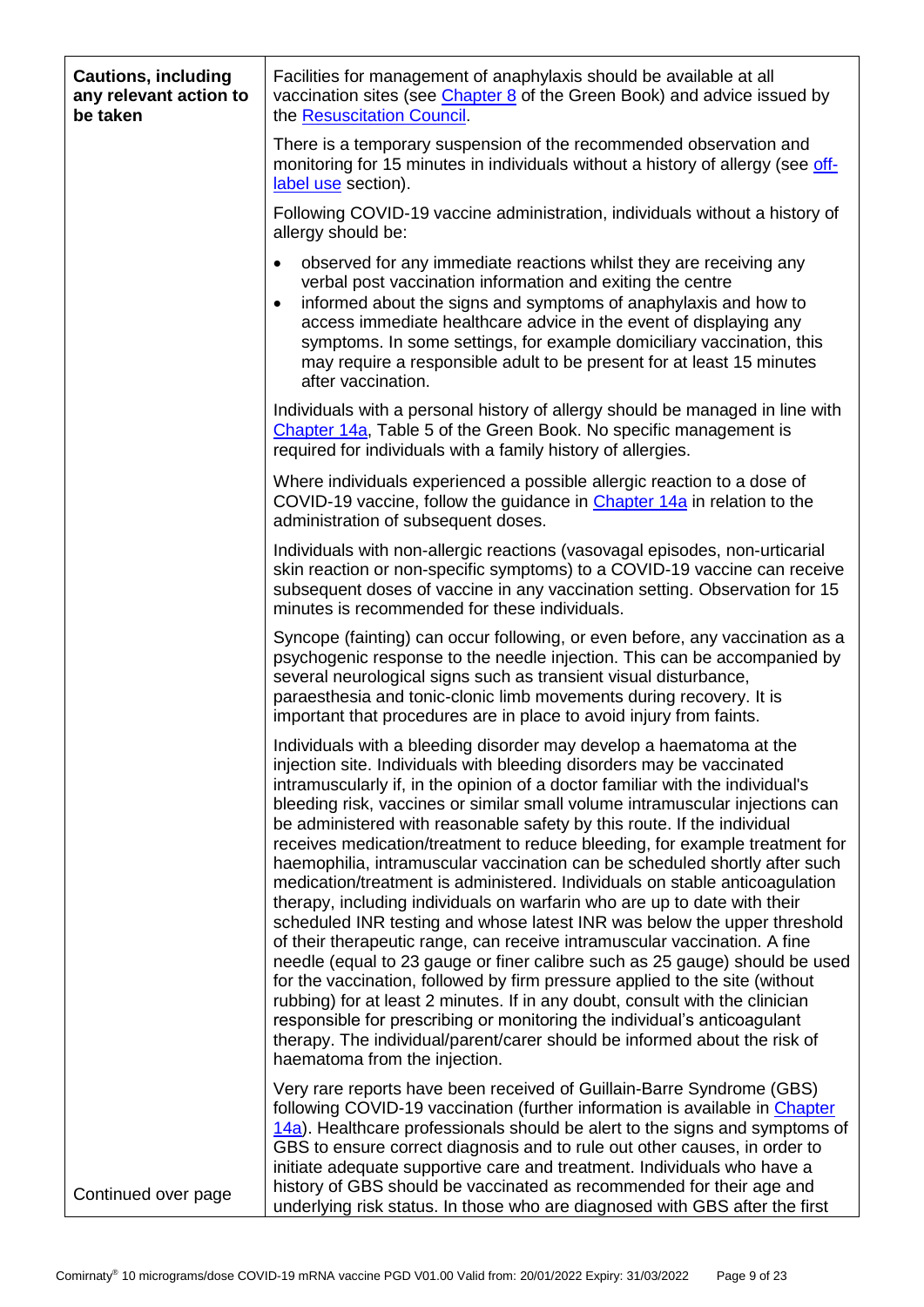| <b>Cautions, including</b><br>any relevant action to<br>be taken | Facilities for management of anaphylaxis should be available at all<br>vaccination sites (see Chapter 8 of the Green Book) and advice issued by<br>the Resuscitation Council.                                                                                                                                                                                                                                                                                                                                                                                                                                                                                                                                                                                                                                                                                                                                                                                                                                                                                                                                                                                                                                                                                                                                     |
|------------------------------------------------------------------|-------------------------------------------------------------------------------------------------------------------------------------------------------------------------------------------------------------------------------------------------------------------------------------------------------------------------------------------------------------------------------------------------------------------------------------------------------------------------------------------------------------------------------------------------------------------------------------------------------------------------------------------------------------------------------------------------------------------------------------------------------------------------------------------------------------------------------------------------------------------------------------------------------------------------------------------------------------------------------------------------------------------------------------------------------------------------------------------------------------------------------------------------------------------------------------------------------------------------------------------------------------------------------------------------------------------|
|                                                                  | There is a temporary suspension of the recommended observation and<br>monitoring for 15 minutes in individuals without a history of allergy (see off-<br>label use section).                                                                                                                                                                                                                                                                                                                                                                                                                                                                                                                                                                                                                                                                                                                                                                                                                                                                                                                                                                                                                                                                                                                                      |
|                                                                  | Following COVID-19 vaccine administration, individuals without a history of<br>allergy should be:                                                                                                                                                                                                                                                                                                                                                                                                                                                                                                                                                                                                                                                                                                                                                                                                                                                                                                                                                                                                                                                                                                                                                                                                                 |
|                                                                  | observed for any immediate reactions whilst they are receiving any<br>$\bullet$<br>verbal post vaccination information and exiting the centre<br>informed about the signs and symptoms of anaphylaxis and how to<br>$\bullet$<br>access immediate healthcare advice in the event of displaying any<br>symptoms. In some settings, for example domiciliary vaccination, this<br>may require a responsible adult to be present for at least 15 minutes<br>after vaccination.                                                                                                                                                                                                                                                                                                                                                                                                                                                                                                                                                                                                                                                                                                                                                                                                                                        |
|                                                                  | Individuals with a personal history of allergy should be managed in line with<br>Chapter 14a, Table 5 of the Green Book. No specific management is<br>required for individuals with a family history of allergies.                                                                                                                                                                                                                                                                                                                                                                                                                                                                                                                                                                                                                                                                                                                                                                                                                                                                                                                                                                                                                                                                                                |
|                                                                  | Where individuals experienced a possible allergic reaction to a dose of<br>COVID-19 vaccine, follow the guidance in Chapter 14a in relation to the<br>administration of subsequent doses.                                                                                                                                                                                                                                                                                                                                                                                                                                                                                                                                                                                                                                                                                                                                                                                                                                                                                                                                                                                                                                                                                                                         |
|                                                                  | Individuals with non-allergic reactions (vasovagal episodes, non-urticarial<br>skin reaction or non-specific symptoms) to a COVID-19 vaccine can receive<br>subsequent doses of vaccine in any vaccination setting. Observation for 15<br>minutes is recommended for these individuals.                                                                                                                                                                                                                                                                                                                                                                                                                                                                                                                                                                                                                                                                                                                                                                                                                                                                                                                                                                                                                           |
|                                                                  | Syncope (fainting) can occur following, or even before, any vaccination as a<br>psychogenic response to the needle injection. This can be accompanied by<br>several neurological signs such as transient visual disturbance,<br>paraesthesia and tonic-clonic limb movements during recovery. It is<br>important that procedures are in place to avoid injury from faints.                                                                                                                                                                                                                                                                                                                                                                                                                                                                                                                                                                                                                                                                                                                                                                                                                                                                                                                                        |
|                                                                  | Individuals with a bleeding disorder may develop a haematoma at the<br>injection site. Individuals with bleeding disorders may be vaccinated<br>intramuscularly if, in the opinion of a doctor familiar with the individual's<br>bleeding risk, vaccines or similar small volume intramuscular injections can<br>be administered with reasonable safety by this route. If the individual<br>receives medication/treatment to reduce bleeding, for example treatment for<br>haemophilia, intramuscular vaccination can be scheduled shortly after such<br>medication/treatment is administered. Individuals on stable anticoagulation<br>therapy, including individuals on warfarin who are up to date with their<br>scheduled INR testing and whose latest INR was below the upper threshold<br>of their therapeutic range, can receive intramuscular vaccination. A fine<br>needle (equal to 23 gauge or finer calibre such as 25 gauge) should be used<br>for the vaccination, followed by firm pressure applied to the site (without<br>rubbing) for at least 2 minutes. If in any doubt, consult with the clinician<br>responsible for prescribing or monitoring the individual's anticoagulant<br>therapy. The individual/parent/carer should be informed about the risk of<br>haematoma from the injection. |
| Continued over page                                              | Very rare reports have been received of Guillain-Barre Syndrome (GBS)<br>following COVID-19 vaccination (further information is available in Chapter<br>14a). Healthcare professionals should be alert to the signs and symptoms of<br>GBS to ensure correct diagnosis and to rule out other causes, in order to<br>initiate adequate supportive care and treatment. Individuals who have a<br>history of GBS should be vaccinated as recommended for their age and<br>underlying risk status. In those who are diagnosed with GBS after the first                                                                                                                                                                                                                                                                                                                                                                                                                                                                                                                                                                                                                                                                                                                                                                |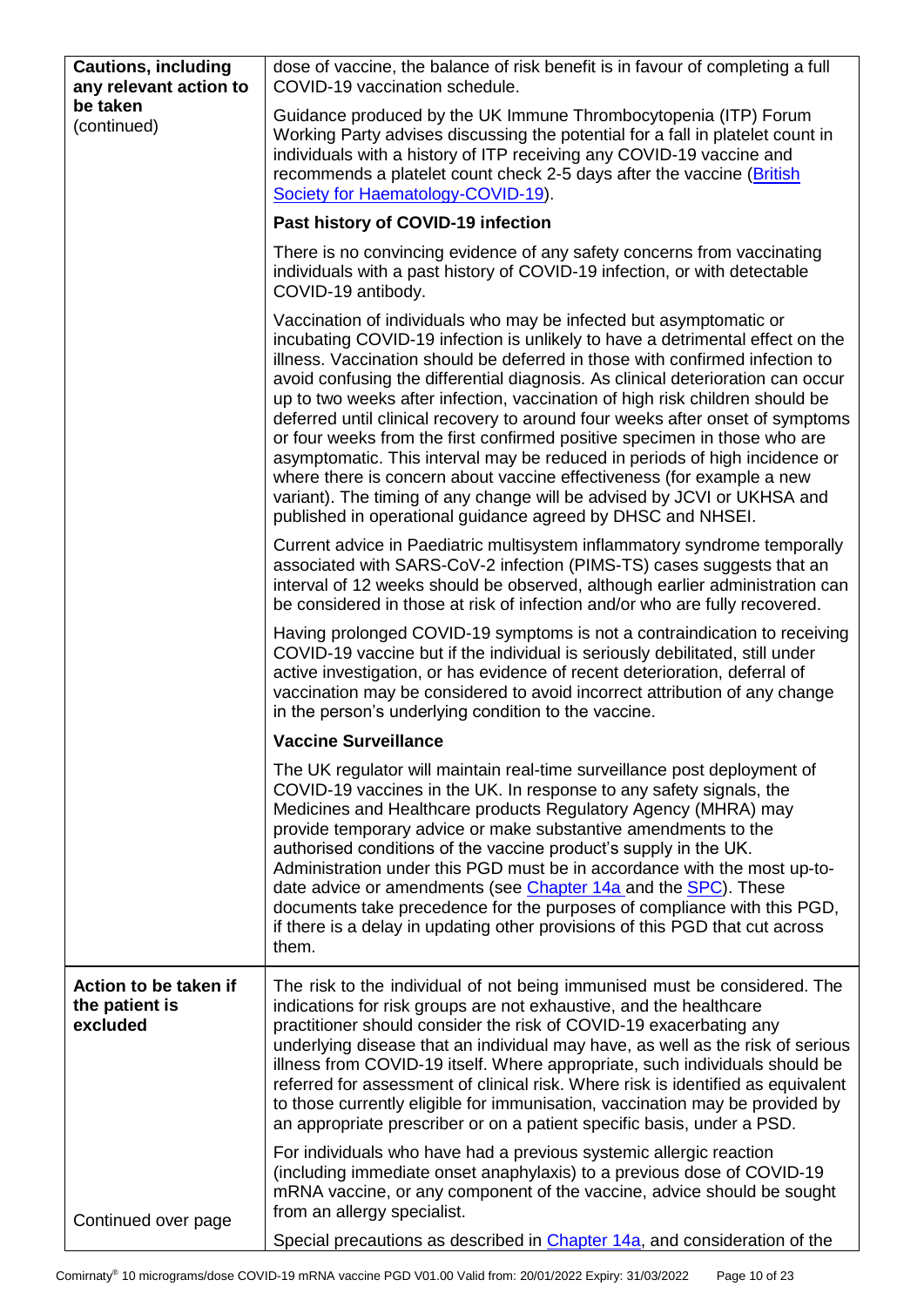<span id="page-9-0"></span>

| <b>Cautions, including</b><br>any relevant action to | dose of vaccine, the balance of risk benefit is in favour of completing a full<br>COVID-19 vaccination schedule.                                                                                                                                                                                                                                                                                                                                                                                                                                                                                                                                                                                                                                                                                                                                                      |
|------------------------------------------------------|-----------------------------------------------------------------------------------------------------------------------------------------------------------------------------------------------------------------------------------------------------------------------------------------------------------------------------------------------------------------------------------------------------------------------------------------------------------------------------------------------------------------------------------------------------------------------------------------------------------------------------------------------------------------------------------------------------------------------------------------------------------------------------------------------------------------------------------------------------------------------|
| be taken<br>(continued)                              | Guidance produced by the UK Immune Thrombocytopenia (ITP) Forum<br>Working Party advises discussing the potential for a fall in platelet count in<br>individuals with a history of ITP receiving any COVID-19 vaccine and<br>recommends a platelet count check 2-5 days after the vaccine (British<br>Society for Haematology-COVID-19).                                                                                                                                                                                                                                                                                                                                                                                                                                                                                                                              |
|                                                      | Past history of COVID-19 infection                                                                                                                                                                                                                                                                                                                                                                                                                                                                                                                                                                                                                                                                                                                                                                                                                                    |
|                                                      | There is no convincing evidence of any safety concerns from vaccinating<br>individuals with a past history of COVID-19 infection, or with detectable<br>COVID-19 antibody.                                                                                                                                                                                                                                                                                                                                                                                                                                                                                                                                                                                                                                                                                            |
|                                                      | Vaccination of individuals who may be infected but asymptomatic or<br>incubating COVID-19 infection is unlikely to have a detrimental effect on the<br>illness. Vaccination should be deferred in those with confirmed infection to<br>avoid confusing the differential diagnosis. As clinical deterioration can occur<br>up to two weeks after infection, vaccination of high risk children should be<br>deferred until clinical recovery to around four weeks after onset of symptoms<br>or four weeks from the first confirmed positive specimen in those who are<br>asymptomatic. This interval may be reduced in periods of high incidence or<br>where there is concern about vaccine effectiveness (for example a new<br>variant). The timing of any change will be advised by JCVI or UKHSA and<br>published in operational guidance agreed by DHSC and NHSEI. |
|                                                      | Current advice in Paediatric multisystem inflammatory syndrome temporally<br>associated with SARS-CoV-2 infection (PIMS-TS) cases suggests that an<br>interval of 12 weeks should be observed, although earlier administration can<br>be considered in those at risk of infection and/or who are fully recovered.                                                                                                                                                                                                                                                                                                                                                                                                                                                                                                                                                     |
|                                                      | Having prolonged COVID-19 symptoms is not a contraindication to receiving<br>COVID-19 vaccine but if the individual is seriously debilitated, still under<br>active investigation, or has evidence of recent deterioration, deferral of<br>vaccination may be considered to avoid incorrect attribution of any change<br>in the person's underlying condition to the vaccine.                                                                                                                                                                                                                                                                                                                                                                                                                                                                                         |
|                                                      | <b>Vaccine Surveillance</b>                                                                                                                                                                                                                                                                                                                                                                                                                                                                                                                                                                                                                                                                                                                                                                                                                                           |
|                                                      | The UK regulator will maintain real-time surveillance post deployment of<br>COVID-19 vaccines in the UK. In response to any safety signals, the<br>Medicines and Healthcare products Regulatory Agency (MHRA) may<br>provide temporary advice or make substantive amendments to the<br>authorised conditions of the vaccine product's supply in the UK.<br>Administration under this PGD must be in accordance with the most up-to-<br>date advice or amendments (see Chapter 14a and the SPC). These<br>documents take precedence for the purposes of compliance with this PGD,<br>if there is a delay in updating other provisions of this PGD that cut across<br>them.                                                                                                                                                                                             |
| Action to be taken if<br>the patient is<br>excluded  | The risk to the individual of not being immunised must be considered. The<br>indications for risk groups are not exhaustive, and the healthcare<br>practitioner should consider the risk of COVID-19 exacerbating any<br>underlying disease that an individual may have, as well as the risk of serious<br>illness from COVID-19 itself. Where appropriate, such individuals should be<br>referred for assessment of clinical risk. Where risk is identified as equivalent<br>to those currently eligible for immunisation, vaccination may be provided by<br>an appropriate prescriber or on a patient specific basis, under a PSD.                                                                                                                                                                                                                                  |
| Continued over page                                  | For individuals who have had a previous systemic allergic reaction<br>(including immediate onset anaphylaxis) to a previous dose of COVID-19<br>mRNA vaccine, or any component of the vaccine, advice should be sought<br>from an allergy specialist.                                                                                                                                                                                                                                                                                                                                                                                                                                                                                                                                                                                                                 |
|                                                      | Special precautions as described in Chapter 14a, and consideration of the                                                                                                                                                                                                                                                                                                                                                                                                                                                                                                                                                                                                                                                                                                                                                                                             |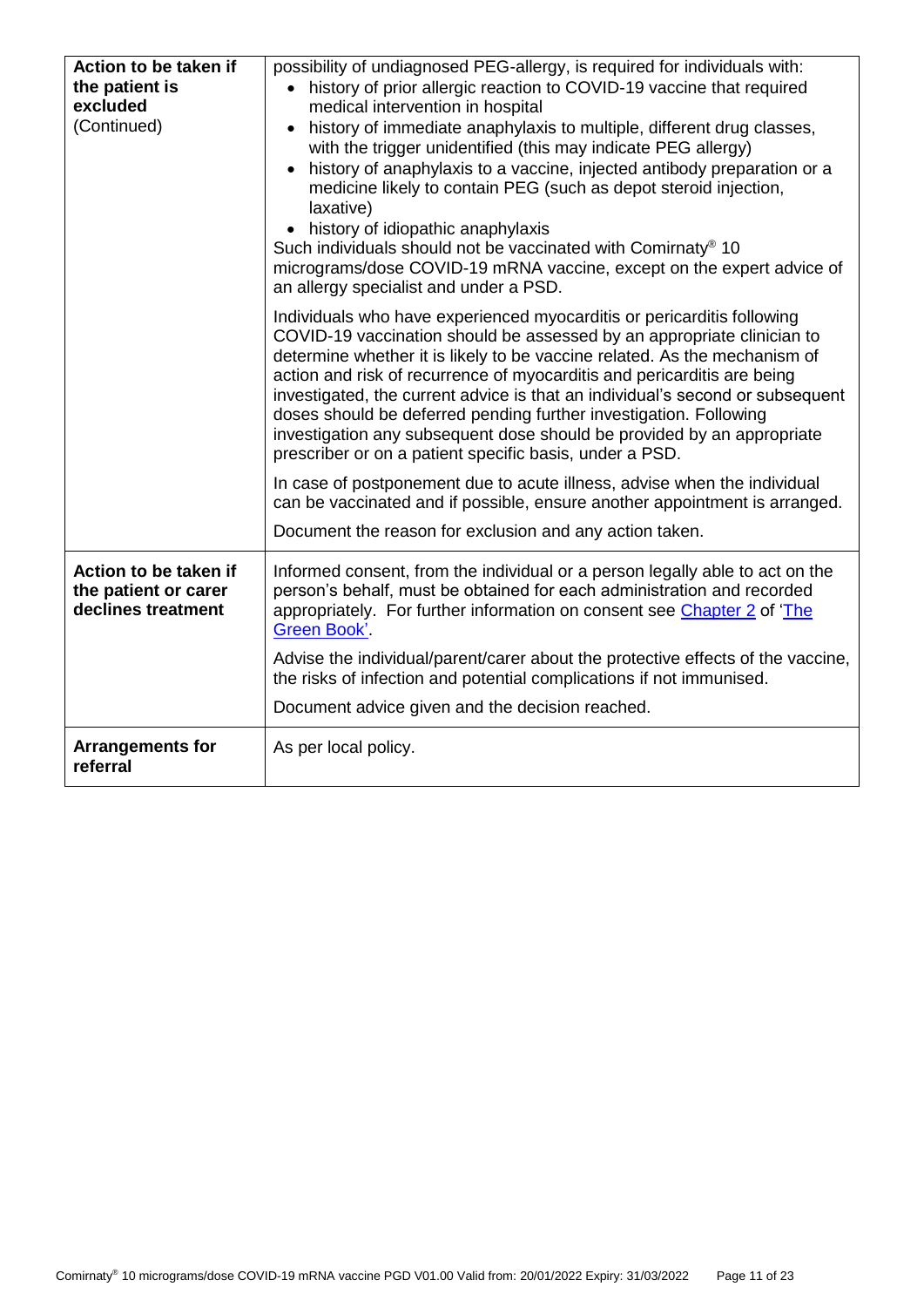| Action to be taken if                                               | possibility of undiagnosed PEG-allergy, is required for individuals with:                                                                                                                                                                                                                                                                                                                                                                                                                                                                                                                           |
|---------------------------------------------------------------------|-----------------------------------------------------------------------------------------------------------------------------------------------------------------------------------------------------------------------------------------------------------------------------------------------------------------------------------------------------------------------------------------------------------------------------------------------------------------------------------------------------------------------------------------------------------------------------------------------------|
| the patient is                                                      | • history of prior allergic reaction to COVID-19 vaccine that required                                                                                                                                                                                                                                                                                                                                                                                                                                                                                                                              |
| excluded                                                            | medical intervention in hospital                                                                                                                                                                                                                                                                                                                                                                                                                                                                                                                                                                    |
| (Continued)                                                         | history of immediate anaphylaxis to multiple, different drug classes,                                                                                                                                                                                                                                                                                                                                                                                                                                                                                                                               |
|                                                                     | with the trigger unidentified (this may indicate PEG allergy)                                                                                                                                                                                                                                                                                                                                                                                                                                                                                                                                       |
|                                                                     | history of anaphylaxis to a vaccine, injected antibody preparation or a<br>medicine likely to contain PEG (such as depot steroid injection,<br>laxative)                                                                                                                                                                                                                                                                                                                                                                                                                                            |
|                                                                     | • history of idiopathic anaphylaxis                                                                                                                                                                                                                                                                                                                                                                                                                                                                                                                                                                 |
|                                                                     | Such individuals should not be vaccinated with Comirnaty <sup>®</sup> 10<br>micrograms/dose COVID-19 mRNA vaccine, except on the expert advice of                                                                                                                                                                                                                                                                                                                                                                                                                                                   |
|                                                                     | an allergy specialist and under a PSD.                                                                                                                                                                                                                                                                                                                                                                                                                                                                                                                                                              |
|                                                                     | Individuals who have experienced myocarditis or pericarditis following<br>COVID-19 vaccination should be assessed by an appropriate clinician to<br>determine whether it is likely to be vaccine related. As the mechanism of<br>action and risk of recurrence of myocarditis and pericarditis are being<br>investigated, the current advice is that an individual's second or subsequent<br>doses should be deferred pending further investigation. Following<br>investigation any subsequent dose should be provided by an appropriate<br>prescriber or on a patient specific basis, under a PSD. |
|                                                                     | In case of postponement due to acute illness, advise when the individual<br>can be vaccinated and if possible, ensure another appointment is arranged.                                                                                                                                                                                                                                                                                                                                                                                                                                              |
|                                                                     | Document the reason for exclusion and any action taken.                                                                                                                                                                                                                                                                                                                                                                                                                                                                                                                                             |
| Action to be taken if<br>the patient or carer<br>declines treatment | Informed consent, from the individual or a person legally able to act on the<br>person's behalf, must be obtained for each administration and recorded<br>appropriately. For further information on consent see Chapter 2 of 'The<br><b>Green Book'</b>                                                                                                                                                                                                                                                                                                                                             |
|                                                                     | Advise the individual/parent/carer about the protective effects of the vaccine,<br>the risks of infection and potential complications if not immunised.                                                                                                                                                                                                                                                                                                                                                                                                                                             |
|                                                                     | Document advice given and the decision reached.                                                                                                                                                                                                                                                                                                                                                                                                                                                                                                                                                     |
| <b>Arrangements for</b><br>referral                                 | As per local policy.                                                                                                                                                                                                                                                                                                                                                                                                                                                                                                                                                                                |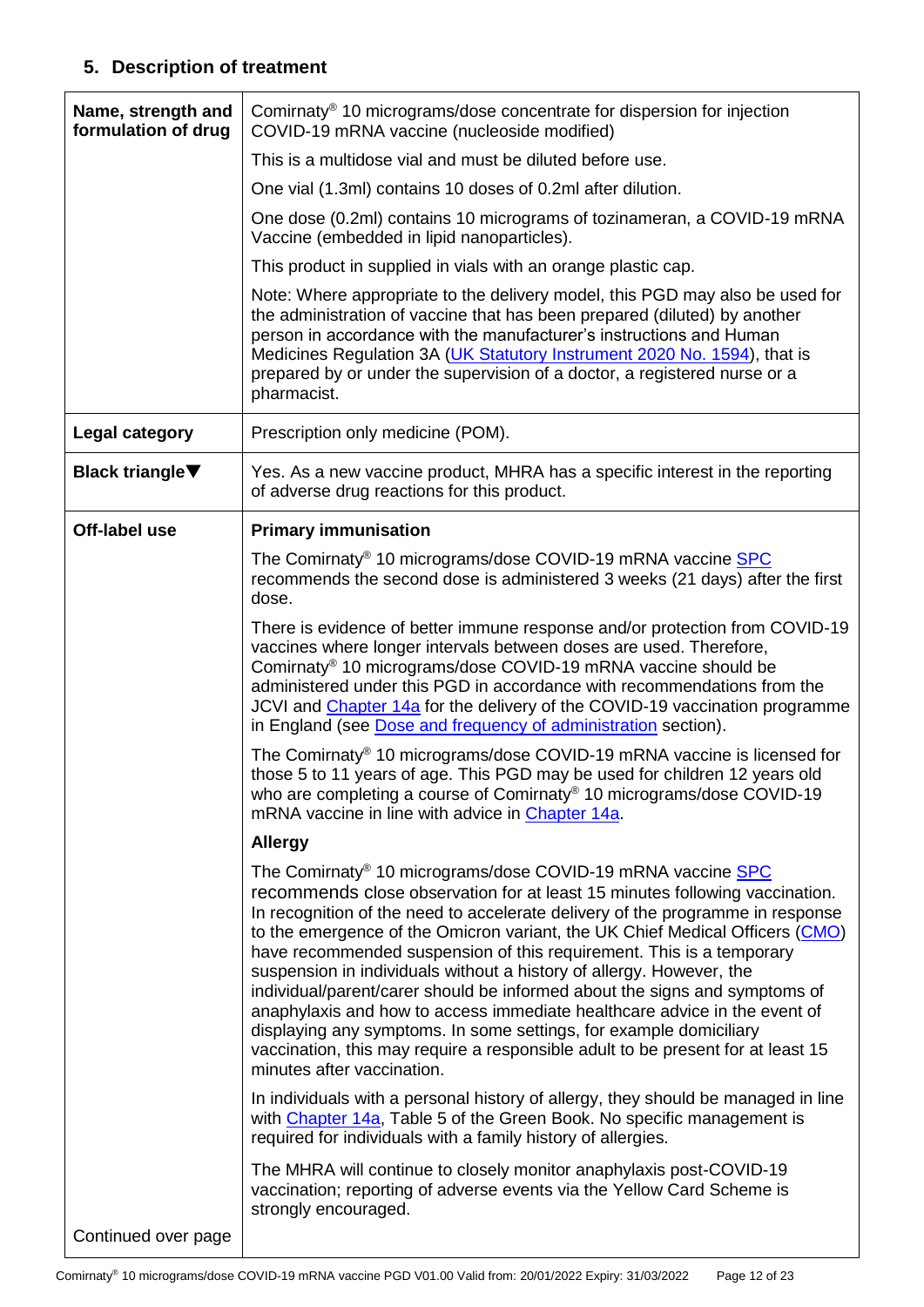# **5. Description of treatment**

<span id="page-11-1"></span><span id="page-11-0"></span>

| Name, strength and<br>formulation of drug | Comirnaty® 10 micrograms/dose concentrate for dispersion for injection<br>COVID-19 mRNA vaccine (nucleoside modified)                                                                                                                                                                                                                                                                                                                                                                                                                                                                                                                                                                                                                                                                                                      |  |  |  |
|-------------------------------------------|----------------------------------------------------------------------------------------------------------------------------------------------------------------------------------------------------------------------------------------------------------------------------------------------------------------------------------------------------------------------------------------------------------------------------------------------------------------------------------------------------------------------------------------------------------------------------------------------------------------------------------------------------------------------------------------------------------------------------------------------------------------------------------------------------------------------------|--|--|--|
|                                           | This is a multidose vial and must be diluted before use.                                                                                                                                                                                                                                                                                                                                                                                                                                                                                                                                                                                                                                                                                                                                                                   |  |  |  |
|                                           | One vial (1.3ml) contains 10 doses of 0.2ml after dilution.                                                                                                                                                                                                                                                                                                                                                                                                                                                                                                                                                                                                                                                                                                                                                                |  |  |  |
|                                           | One dose (0.2ml) contains 10 micrograms of tozinameran, a COVID-19 mRNA<br>Vaccine (embedded in lipid nanoparticles).                                                                                                                                                                                                                                                                                                                                                                                                                                                                                                                                                                                                                                                                                                      |  |  |  |
|                                           | This product in supplied in vials with an orange plastic cap.                                                                                                                                                                                                                                                                                                                                                                                                                                                                                                                                                                                                                                                                                                                                                              |  |  |  |
|                                           | Note: Where appropriate to the delivery model, this PGD may also be used for<br>the administration of vaccine that has been prepared (diluted) by another<br>person in accordance with the manufacturer's instructions and Human<br>Medicines Regulation 3A (UK Statutory Instrument 2020 No. 1594), that is<br>prepared by or under the supervision of a doctor, a registered nurse or a<br>pharmacist.                                                                                                                                                                                                                                                                                                                                                                                                                   |  |  |  |
| Legal category                            | Prescription only medicine (POM).                                                                                                                                                                                                                                                                                                                                                                                                                                                                                                                                                                                                                                                                                                                                                                                          |  |  |  |
| <b>Black triangle</b> ▼                   | Yes. As a new vaccine product, MHRA has a specific interest in the reporting<br>of adverse drug reactions for this product.                                                                                                                                                                                                                                                                                                                                                                                                                                                                                                                                                                                                                                                                                                |  |  |  |
| Off-label use                             | <b>Primary immunisation</b>                                                                                                                                                                                                                                                                                                                                                                                                                                                                                                                                                                                                                                                                                                                                                                                                |  |  |  |
|                                           | The Comirnaty® 10 micrograms/dose COVID-19 mRNA vaccine SPC<br>recommends the second dose is administered 3 weeks (21 days) after the first<br>dose.                                                                                                                                                                                                                                                                                                                                                                                                                                                                                                                                                                                                                                                                       |  |  |  |
|                                           | There is evidence of better immune response and/or protection from COVID-19<br>vaccines where longer intervals between doses are used. Therefore,<br>Comirnaty <sup>®</sup> 10 micrograms/dose COVID-19 mRNA vaccine should be<br>administered under this PGD in accordance with recommendations from the<br>JCVI and Chapter 14a for the delivery of the COVID-19 vaccination programme<br>in England (see Dose and frequency of administration section).                                                                                                                                                                                                                                                                                                                                                                 |  |  |  |
|                                           | The Comirnaty <sup>®</sup> 10 micrograms/dose COVID-19 mRNA vaccine is licensed for<br>those 5 to 11 years of age. This PGD may be used for children 12 years old<br>who are completing a course of Comirnaty® 10 micrograms/dose COVID-19<br>mRNA vaccine in line with advice in Chapter 14a.                                                                                                                                                                                                                                                                                                                                                                                                                                                                                                                             |  |  |  |
|                                           | <b>Allergy</b>                                                                                                                                                                                                                                                                                                                                                                                                                                                                                                                                                                                                                                                                                                                                                                                                             |  |  |  |
|                                           | The Comirnaty <sup>®</sup> 10 micrograms/dose COVID-19 mRNA vaccine SPC<br>recommends close observation for at least 15 minutes following vaccination.<br>In recognition of the need to accelerate delivery of the programme in response<br>to the emergence of the Omicron variant, the UK Chief Medical Officers (CMO)<br>have recommended suspension of this requirement. This is a temporary<br>suspension in individuals without a history of allergy. However, the<br>individual/parent/carer should be informed about the signs and symptoms of<br>anaphylaxis and how to access immediate healthcare advice in the event of<br>displaying any symptoms. In some settings, for example domiciliary<br>vaccination, this may require a responsible adult to be present for at least 15<br>minutes after vaccination. |  |  |  |
|                                           | In individuals with a personal history of allergy, they should be managed in line<br>with Chapter 14a, Table 5 of the Green Book. No specific management is<br>required for individuals with a family history of allergies.                                                                                                                                                                                                                                                                                                                                                                                                                                                                                                                                                                                                |  |  |  |
|                                           | The MHRA will continue to closely monitor anaphylaxis post-COVID-19<br>vaccination; reporting of adverse events via the Yellow Card Scheme is<br>strongly encouraged.                                                                                                                                                                                                                                                                                                                                                                                                                                                                                                                                                                                                                                                      |  |  |  |
| Continued over page                       |                                                                                                                                                                                                                                                                                                                                                                                                                                                                                                                                                                                                                                                                                                                                                                                                                            |  |  |  |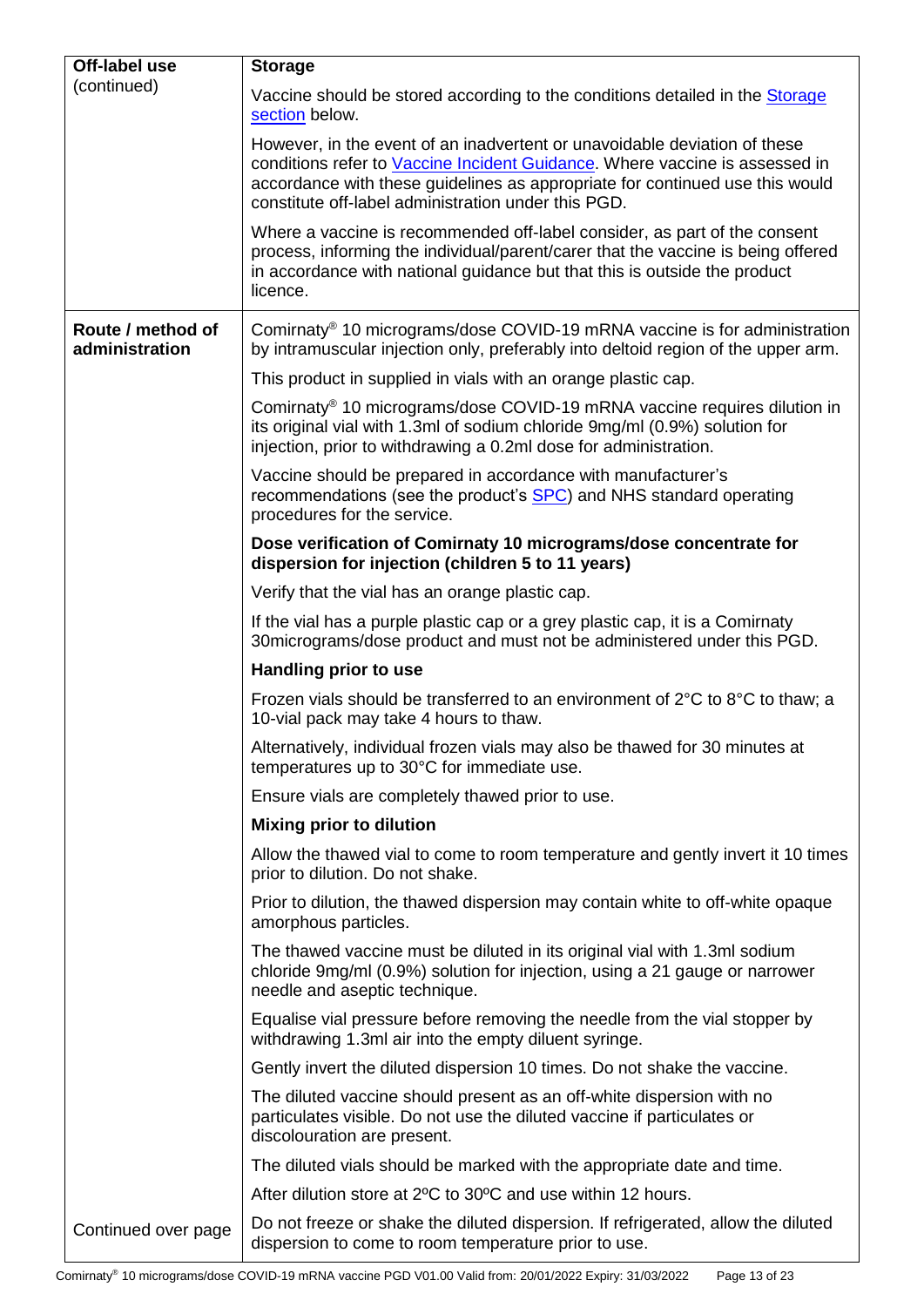| Off-label use                       | <b>Storage</b>                                                                                                                                                                                                                                                                                  |  |  |  |
|-------------------------------------|-------------------------------------------------------------------------------------------------------------------------------------------------------------------------------------------------------------------------------------------------------------------------------------------------|--|--|--|
| (continued)                         | Vaccine should be stored according to the conditions detailed in the Storage<br>section below.                                                                                                                                                                                                  |  |  |  |
|                                     | However, in the event of an inadvertent or unavoidable deviation of these<br>conditions refer to Vaccine Incident Guidance. Where vaccine is assessed in<br>accordance with these guidelines as appropriate for continued use this would<br>constitute off-label administration under this PGD. |  |  |  |
|                                     | Where a vaccine is recommended off-label consider, as part of the consent<br>process, informing the individual/parent/carer that the vaccine is being offered<br>in accordance with national guidance but that this is outside the product<br>licence.                                          |  |  |  |
| Route / method of<br>administration | Comirnaty <sup>®</sup> 10 micrograms/dose COVID-19 mRNA vaccine is for administration<br>by intramuscular injection only, preferably into deltoid region of the upper arm.                                                                                                                      |  |  |  |
|                                     | This product in supplied in vials with an orange plastic cap.                                                                                                                                                                                                                                   |  |  |  |
|                                     | Comirnaty <sup>®</sup> 10 micrograms/dose COVID-19 mRNA vaccine requires dilution in<br>its original vial with 1.3ml of sodium chloride 9mg/ml (0.9%) solution for<br>injection, prior to withdrawing a 0.2ml dose for administration.                                                          |  |  |  |
|                                     | Vaccine should be prepared in accordance with manufacturer's<br>recommendations (see the product's SPC) and NHS standard operating<br>procedures for the service.                                                                                                                               |  |  |  |
|                                     | Dose verification of Comirnaty 10 micrograms/dose concentrate for<br>dispersion for injection (children 5 to 11 years)                                                                                                                                                                          |  |  |  |
|                                     | Verify that the vial has an orange plastic cap.                                                                                                                                                                                                                                                 |  |  |  |
|                                     | If the vial has a purple plastic cap or a grey plastic cap, it is a Comirnaty<br>30 micrograms/dose product and must not be administered under this PGD.                                                                                                                                        |  |  |  |
|                                     | Handling prior to use                                                                                                                                                                                                                                                                           |  |  |  |
|                                     | Frozen vials should be transferred to an environment of $2^{\circ}$ C to $8^{\circ}$ C to thaw; a<br>10-vial pack may take 4 hours to thaw.                                                                                                                                                     |  |  |  |
|                                     | Alternatively, individual frozen vials may also be thawed for 30 minutes at<br>temperatures up to 30°C for immediate use.                                                                                                                                                                       |  |  |  |
|                                     | Ensure vials are completely thawed prior to use.                                                                                                                                                                                                                                                |  |  |  |
|                                     | <b>Mixing prior to dilution</b>                                                                                                                                                                                                                                                                 |  |  |  |
|                                     | Allow the thawed vial to come to room temperature and gently invert it 10 times<br>prior to dilution. Do not shake.                                                                                                                                                                             |  |  |  |
|                                     | Prior to dilution, the thawed dispersion may contain white to off-white opaque<br>amorphous particles.                                                                                                                                                                                          |  |  |  |
|                                     | The thawed vaccine must be diluted in its original vial with 1.3ml sodium<br>chloride 9mg/ml (0.9%) solution for injection, using a 21 gauge or narrower<br>needle and aseptic technique.                                                                                                       |  |  |  |
|                                     | Equalise vial pressure before removing the needle from the vial stopper by<br>withdrawing 1.3ml air into the empty diluent syringe.                                                                                                                                                             |  |  |  |
|                                     | Gently invert the diluted dispersion 10 times. Do not shake the vaccine.                                                                                                                                                                                                                        |  |  |  |
|                                     | The diluted vaccine should present as an off-white dispersion with no<br>particulates visible. Do not use the diluted vaccine if particulates or<br>discolouration are present.                                                                                                                 |  |  |  |
|                                     | The diluted vials should be marked with the appropriate date and time.                                                                                                                                                                                                                          |  |  |  |
|                                     | After dilution store at 2°C to 30°C and use within 12 hours.                                                                                                                                                                                                                                    |  |  |  |
| Continued over page                 | Do not freeze or shake the diluted dispersion. If refrigerated, allow the diluted<br>dispersion to come to room temperature prior to use.                                                                                                                                                       |  |  |  |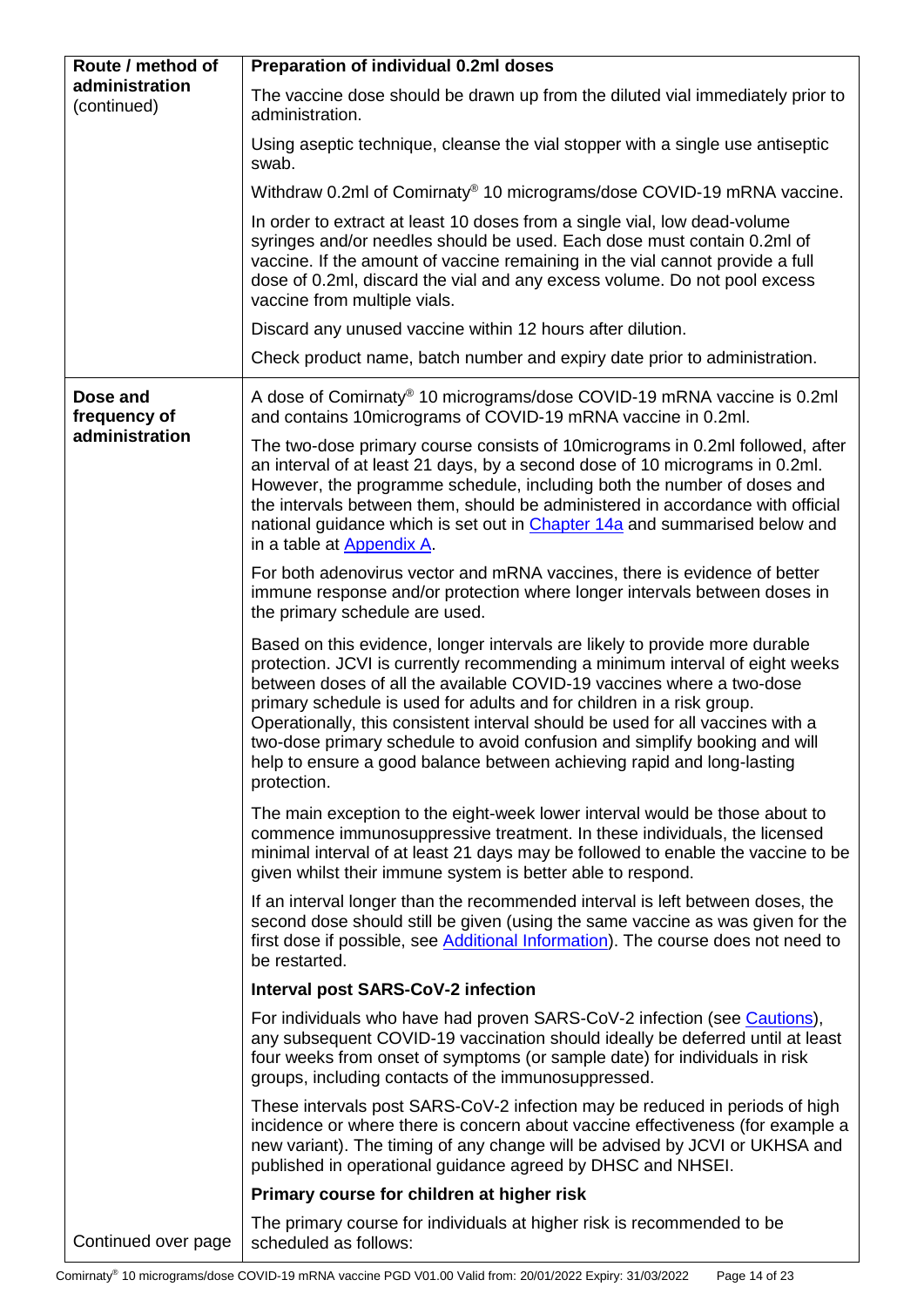<span id="page-13-0"></span>

| Route / method of             | Preparation of individual 0.2ml doses                                                                                                                                                                                                                                                                                                                                                                                                                                                                                                                                  |  |  |
|-------------------------------|------------------------------------------------------------------------------------------------------------------------------------------------------------------------------------------------------------------------------------------------------------------------------------------------------------------------------------------------------------------------------------------------------------------------------------------------------------------------------------------------------------------------------------------------------------------------|--|--|
| administration<br>(continued) | The vaccine dose should be drawn up from the diluted vial immediately prior to<br>administration.                                                                                                                                                                                                                                                                                                                                                                                                                                                                      |  |  |
|                               | Using aseptic technique, cleanse the vial stopper with a single use antiseptic<br>swab.                                                                                                                                                                                                                                                                                                                                                                                                                                                                                |  |  |
|                               | Withdraw 0.2ml of Comirnaty <sup>®</sup> 10 micrograms/dose COVID-19 mRNA vaccine.                                                                                                                                                                                                                                                                                                                                                                                                                                                                                     |  |  |
|                               | In order to extract at least 10 doses from a single vial, low dead-volume<br>syringes and/or needles should be used. Each dose must contain 0.2ml of<br>vaccine. If the amount of vaccine remaining in the vial cannot provide a full<br>dose of 0.2ml, discard the vial and any excess volume. Do not pool excess<br>vaccine from multiple vials.                                                                                                                                                                                                                     |  |  |
|                               | Discard any unused vaccine within 12 hours after dilution.                                                                                                                                                                                                                                                                                                                                                                                                                                                                                                             |  |  |
|                               | Check product name, batch number and expiry date prior to administration.                                                                                                                                                                                                                                                                                                                                                                                                                                                                                              |  |  |
| Dose and<br>frequency of      | A dose of Comirnaty <sup>®</sup> 10 micrograms/dose COVID-19 mRNA vaccine is 0.2ml<br>and contains 10micrograms of COVID-19 mRNA vaccine in 0.2ml.                                                                                                                                                                                                                                                                                                                                                                                                                     |  |  |
| administration                | The two-dose primary course consists of 10 micrograms in 0.2 ml followed, after<br>an interval of at least 21 days, by a second dose of 10 micrograms in 0.2ml.<br>However, the programme schedule, including both the number of doses and<br>the intervals between them, should be administered in accordance with official<br>national guidance which is set out in Chapter 14a and summarised below and<br>in a table at Appendix A.                                                                                                                                |  |  |
|                               | For both adenovirus vector and mRNA vaccines, there is evidence of better<br>immune response and/or protection where longer intervals between doses in<br>the primary schedule are used.                                                                                                                                                                                                                                                                                                                                                                               |  |  |
|                               | Based on this evidence, longer intervals are likely to provide more durable<br>protection. JCVI is currently recommending a minimum interval of eight weeks<br>between doses of all the available COVID-19 vaccines where a two-dose<br>primary schedule is used for adults and for children in a risk group.<br>Operationally, this consistent interval should be used for all vaccines with a<br>two-dose primary schedule to avoid confusion and simplify booking and will<br>help to ensure a good balance between achieving rapid and long-lasting<br>protection. |  |  |
|                               | The main exception to the eight-week lower interval would be those about to<br>commence immunosuppressive treatment. In these individuals, the licensed<br>minimal interval of at least 21 days may be followed to enable the vaccine to be<br>given whilst their immune system is better able to respond.                                                                                                                                                                                                                                                             |  |  |
|                               | If an interval longer than the recommended interval is left between doses, the<br>second dose should still be given (using the same vaccine as was given for the<br>first dose if possible, see Additional Information). The course does not need to<br>be restarted.                                                                                                                                                                                                                                                                                                  |  |  |
|                               | <b>Interval post SARS-CoV-2 infection</b>                                                                                                                                                                                                                                                                                                                                                                                                                                                                                                                              |  |  |
|                               | For individuals who have had proven SARS-CoV-2 infection (see Cautions),<br>any subsequent COVID-19 vaccination should ideally be deferred until at least<br>four weeks from onset of symptoms (or sample date) for individuals in risk<br>groups, including contacts of the immunosuppressed.                                                                                                                                                                                                                                                                         |  |  |
|                               | These intervals post SARS-CoV-2 infection may be reduced in periods of high<br>incidence or where there is concern about vaccine effectiveness (for example a<br>new variant). The timing of any change will be advised by JCVI or UKHSA and<br>published in operational guidance agreed by DHSC and NHSEI.                                                                                                                                                                                                                                                            |  |  |
|                               | Primary course for children at higher risk                                                                                                                                                                                                                                                                                                                                                                                                                                                                                                                             |  |  |
| Continued over page           | The primary course for individuals at higher risk is recommended to be<br>scheduled as follows:                                                                                                                                                                                                                                                                                                                                                                                                                                                                        |  |  |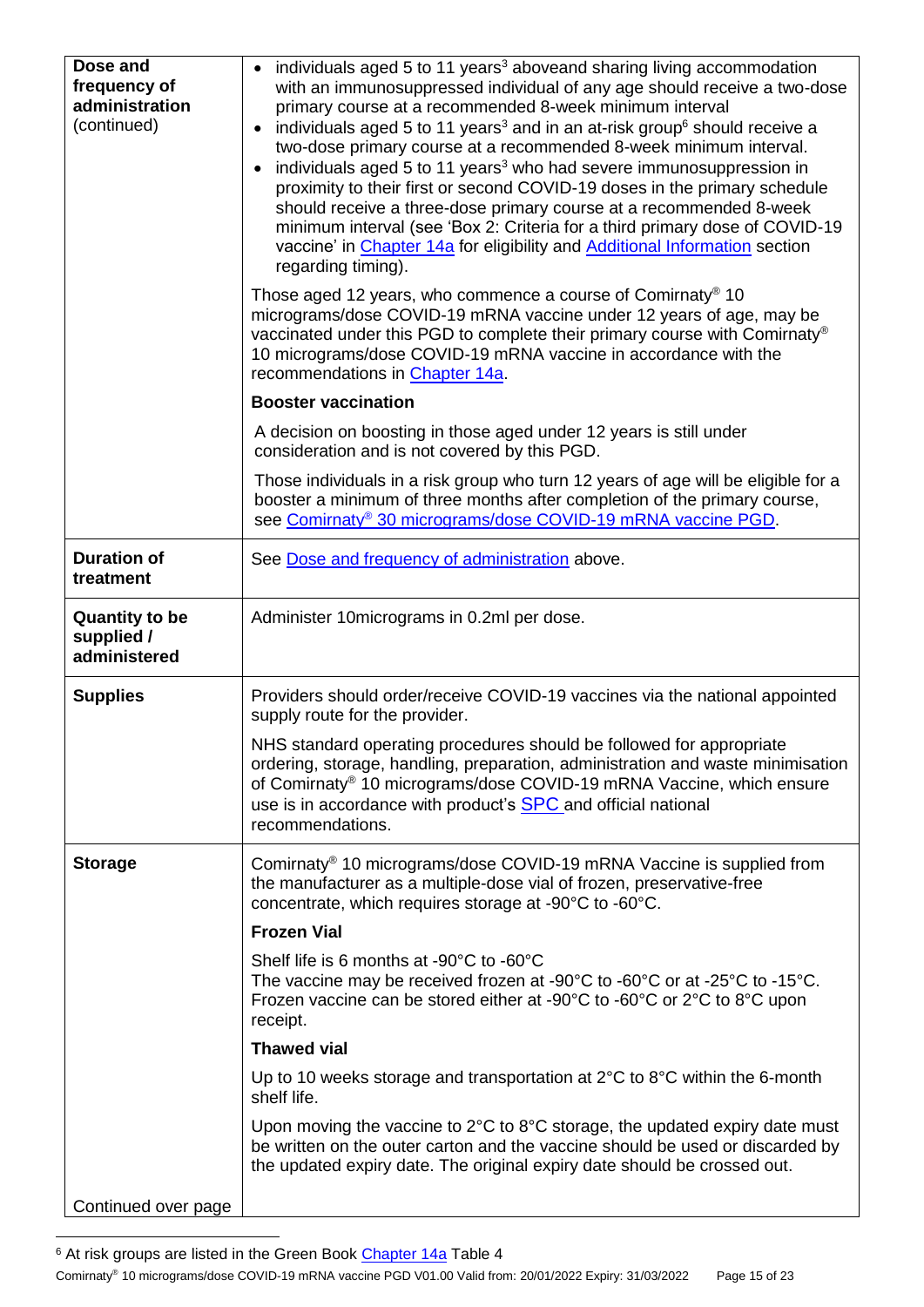| Dose and<br>frequency of<br>administration<br>(continued) | individuals aged 5 to 11 years <sup>3</sup> aboveand sharing living accommodation<br>with an immunosuppressed individual of any age should receive a two-dose<br>primary course at a recommended 8-week minimum interval<br>individuals aged 5 to 11 years <sup>3</sup> and in an at-risk group <sup>6</sup> should receive a<br>two-dose primary course at a recommended 8-week minimum interval.<br>individuals aged 5 to 11 years <sup>3</sup> who had severe immunosuppression in<br>proximity to their first or second COVID-19 doses in the primary schedule<br>should receive a three-dose primary course at a recommended 8-week<br>minimum interval (see 'Box 2: Criteria for a third primary dose of COVID-19<br>vaccine' in Chapter 14a for eligibility and Additional Information section<br>regarding timing).<br>Those aged 12 years, who commence a course of Comirnaty <sup>®</sup> 10<br>micrograms/dose COVID-19 mRNA vaccine under 12 years of age, may be |  |  |  |  |
|-----------------------------------------------------------|-------------------------------------------------------------------------------------------------------------------------------------------------------------------------------------------------------------------------------------------------------------------------------------------------------------------------------------------------------------------------------------------------------------------------------------------------------------------------------------------------------------------------------------------------------------------------------------------------------------------------------------------------------------------------------------------------------------------------------------------------------------------------------------------------------------------------------------------------------------------------------------------------------------------------------------------------------------------------------|--|--|--|--|
|                                                           | vaccinated under this PGD to complete their primary course with Comirnaty®<br>10 micrograms/dose COVID-19 mRNA vaccine in accordance with the<br>recommendations in Chapter 14a.                                                                                                                                                                                                                                                                                                                                                                                                                                                                                                                                                                                                                                                                                                                                                                                              |  |  |  |  |
|                                                           | <b>Booster vaccination</b>                                                                                                                                                                                                                                                                                                                                                                                                                                                                                                                                                                                                                                                                                                                                                                                                                                                                                                                                                    |  |  |  |  |
|                                                           | A decision on boosting in those aged under 12 years is still under<br>consideration and is not covered by this PGD.                                                                                                                                                                                                                                                                                                                                                                                                                                                                                                                                                                                                                                                                                                                                                                                                                                                           |  |  |  |  |
|                                                           | Those individuals in a risk group who turn 12 years of age will be eligible for a<br>booster a minimum of three months after completion of the primary course,<br>see Comirnaty® 30 micrograms/dose COVID-19 mRNA vaccine PGD.                                                                                                                                                                                                                                                                                                                                                                                                                                                                                                                                                                                                                                                                                                                                                |  |  |  |  |
| <b>Duration of</b><br>treatment                           | See Dose and frequency of administration above.                                                                                                                                                                                                                                                                                                                                                                                                                                                                                                                                                                                                                                                                                                                                                                                                                                                                                                                               |  |  |  |  |
| <b>Quantity to be</b><br>supplied /<br>administered       | Administer 10 micrograms in 0.2 ml per dose.                                                                                                                                                                                                                                                                                                                                                                                                                                                                                                                                                                                                                                                                                                                                                                                                                                                                                                                                  |  |  |  |  |
| <b>Supplies</b>                                           | Providers should order/receive COVID-19 vaccines via the national appointed<br>supply route for the provider.                                                                                                                                                                                                                                                                                                                                                                                                                                                                                                                                                                                                                                                                                                                                                                                                                                                                 |  |  |  |  |
|                                                           | NHS standard operating procedures should be followed for appropriate<br>ordering, storage, handling, preparation, administration and waste minimisation<br>of Comirnaty <sup>®</sup> 10 micrograms/dose COVID-19 mRNA Vaccine, which ensure<br>use is in accordance with product's <b>SPC</b> and official national<br>recommendations.                                                                                                                                                                                                                                                                                                                                                                                                                                                                                                                                                                                                                                       |  |  |  |  |
| <b>Storage</b>                                            | Comirnaty <sup>®</sup> 10 micrograms/dose COVID-19 mRNA Vaccine is supplied from<br>the manufacturer as a multiple-dose vial of frozen, preservative-free<br>concentrate, which requires storage at -90°C to -60°C.                                                                                                                                                                                                                                                                                                                                                                                                                                                                                                                                                                                                                                                                                                                                                           |  |  |  |  |
|                                                           | <b>Frozen Vial</b>                                                                                                                                                                                                                                                                                                                                                                                                                                                                                                                                                                                                                                                                                                                                                                                                                                                                                                                                                            |  |  |  |  |
|                                                           | Shelf life is 6 months at -90°C to -60°C<br>The vaccine may be received frozen at -90 $^{\circ}$ C to -60 $^{\circ}$ C or at -25 $^{\circ}$ C to -15 $^{\circ}$ C.<br>Frozen vaccine can be stored either at -90°C to -60°C or 2°C to 8°C upon<br>receipt.                                                                                                                                                                                                                                                                                                                                                                                                                                                                                                                                                                                                                                                                                                                    |  |  |  |  |
|                                                           | <b>Thawed vial</b>                                                                                                                                                                                                                                                                                                                                                                                                                                                                                                                                                                                                                                                                                                                                                                                                                                                                                                                                                            |  |  |  |  |
|                                                           | Up to 10 weeks storage and transportation at $2^{\circ}$ C to $8^{\circ}$ C within the 6-month<br>shelf life.                                                                                                                                                                                                                                                                                                                                                                                                                                                                                                                                                                                                                                                                                                                                                                                                                                                                 |  |  |  |  |
|                                                           | Upon moving the vaccine to $2^{\circ}$ C to $8^{\circ}$ C storage, the updated expiry date must<br>be written on the outer carton and the vaccine should be used or discarded by<br>the updated expiry date. The original expiry date should be crossed out.                                                                                                                                                                                                                                                                                                                                                                                                                                                                                                                                                                                                                                                                                                                  |  |  |  |  |
| Continued over page                                       |                                                                                                                                                                                                                                                                                                                                                                                                                                                                                                                                                                                                                                                                                                                                                                                                                                                                                                                                                                               |  |  |  |  |

<span id="page-14-0"></span>1 <sup>6</sup> At risk groups are listed in the Green Book [Chapter 14a](https://www.gov.uk/government/publications/covid-19-the-green-book-chapter-14a) Table 4

Comirnaty® 10 micrograms/dose COVID-19 mRNA vaccine PGD V01.00 Valid from: 20/01/2022 Expiry: 31/03/2022 Page 15 of 23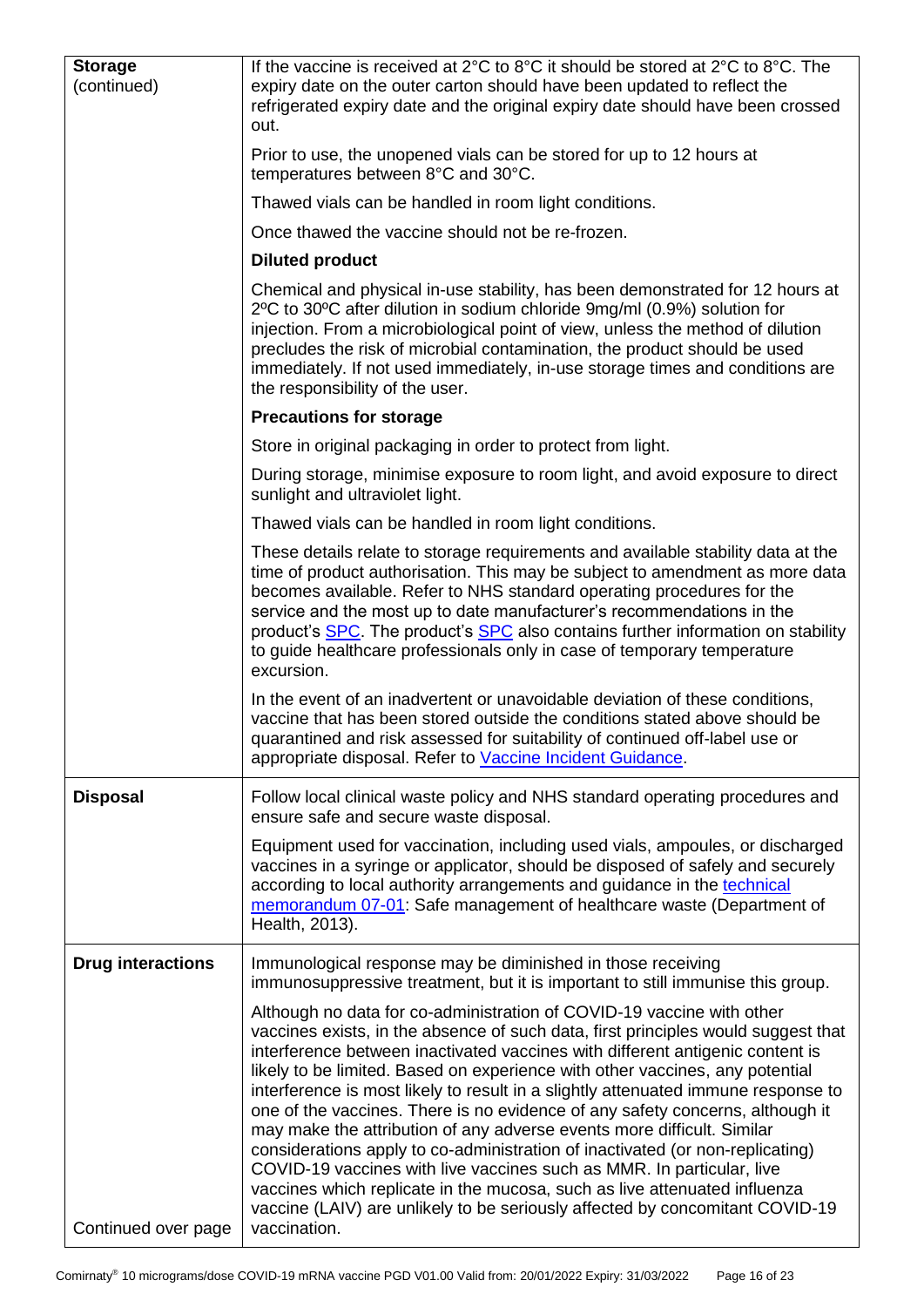| <b>Storage</b><br>(continued) | If the vaccine is received at 2°C to 8°C it should be stored at $2^{\circ}C$ to 8°C. The<br>expiry date on the outer carton should have been updated to reflect the<br>refrigerated expiry date and the original expiry date should have been crossed<br>out.                                                                                                                                                                                                                                                                                                                                                                                                                                                                                                                                                                                                                                                      |  |  |  |
|-------------------------------|--------------------------------------------------------------------------------------------------------------------------------------------------------------------------------------------------------------------------------------------------------------------------------------------------------------------------------------------------------------------------------------------------------------------------------------------------------------------------------------------------------------------------------------------------------------------------------------------------------------------------------------------------------------------------------------------------------------------------------------------------------------------------------------------------------------------------------------------------------------------------------------------------------------------|--|--|--|
|                               | Prior to use, the unopened vials can be stored for up to 12 hours at<br>temperatures between 8°C and 30°C.                                                                                                                                                                                                                                                                                                                                                                                                                                                                                                                                                                                                                                                                                                                                                                                                         |  |  |  |
|                               | Thawed vials can be handled in room light conditions.                                                                                                                                                                                                                                                                                                                                                                                                                                                                                                                                                                                                                                                                                                                                                                                                                                                              |  |  |  |
|                               | Once thawed the vaccine should not be re-frozen.                                                                                                                                                                                                                                                                                                                                                                                                                                                                                                                                                                                                                                                                                                                                                                                                                                                                   |  |  |  |
|                               | <b>Diluted product</b>                                                                                                                                                                                                                                                                                                                                                                                                                                                                                                                                                                                                                                                                                                                                                                                                                                                                                             |  |  |  |
|                               | Chemical and physical in-use stability, has been demonstrated for 12 hours at<br>2°C to 30°C after dilution in sodium chloride 9mg/ml (0.9%) solution for<br>injection. From a microbiological point of view, unless the method of dilution<br>precludes the risk of microbial contamination, the product should be used<br>immediately. If not used immediately, in-use storage times and conditions are<br>the responsibility of the user.                                                                                                                                                                                                                                                                                                                                                                                                                                                                       |  |  |  |
|                               | <b>Precautions for storage</b>                                                                                                                                                                                                                                                                                                                                                                                                                                                                                                                                                                                                                                                                                                                                                                                                                                                                                     |  |  |  |
|                               | Store in original packaging in order to protect from light.                                                                                                                                                                                                                                                                                                                                                                                                                                                                                                                                                                                                                                                                                                                                                                                                                                                        |  |  |  |
|                               | During storage, minimise exposure to room light, and avoid exposure to direct<br>sunlight and ultraviolet light.                                                                                                                                                                                                                                                                                                                                                                                                                                                                                                                                                                                                                                                                                                                                                                                                   |  |  |  |
|                               | Thawed vials can be handled in room light conditions.                                                                                                                                                                                                                                                                                                                                                                                                                                                                                                                                                                                                                                                                                                                                                                                                                                                              |  |  |  |
|                               | These details relate to storage requirements and available stability data at the<br>time of product authorisation. This may be subject to amendment as more data<br>becomes available. Refer to NHS standard operating procedures for the<br>service and the most up to date manufacturer's recommendations in the<br>product's <b>SPC</b> . The product's <b>SPC</b> also contains further information on stability<br>to guide healthcare professionals only in case of temporary temperature<br>excursion.                                                                                                                                                                                                                                                                                                                                                                                                      |  |  |  |
|                               | In the event of an inadvertent or unavoidable deviation of these conditions,<br>vaccine that has been stored outside the conditions stated above should be<br>quarantined and risk assessed for suitability of continued off-label use or<br>appropriate disposal. Refer to Vaccine Incident Guidance.                                                                                                                                                                                                                                                                                                                                                                                                                                                                                                                                                                                                             |  |  |  |
| <b>Disposal</b>               | Follow local clinical waste policy and NHS standard operating procedures and<br>ensure safe and secure waste disposal.                                                                                                                                                                                                                                                                                                                                                                                                                                                                                                                                                                                                                                                                                                                                                                                             |  |  |  |
|                               | Equipment used for vaccination, including used vials, ampoules, or discharged<br>vaccines in a syringe or applicator, should be disposed of safely and securely<br>according to local authority arrangements and guidance in the technical<br>memorandum 07-01: Safe management of healthcare waste (Department of<br>Health, 2013).                                                                                                                                                                                                                                                                                                                                                                                                                                                                                                                                                                               |  |  |  |
| <b>Drug interactions</b>      | Immunological response may be diminished in those receiving<br>immunosuppressive treatment, but it is important to still immunise this group.                                                                                                                                                                                                                                                                                                                                                                                                                                                                                                                                                                                                                                                                                                                                                                      |  |  |  |
| Continued over page           | Although no data for co-administration of COVID-19 vaccine with other<br>vaccines exists, in the absence of such data, first principles would suggest that<br>interference between inactivated vaccines with different antigenic content is<br>likely to be limited. Based on experience with other vaccines, any potential<br>interference is most likely to result in a slightly attenuated immune response to<br>one of the vaccines. There is no evidence of any safety concerns, although it<br>may make the attribution of any adverse events more difficult. Similar<br>considerations apply to co-administration of inactivated (or non-replicating)<br>COVID-19 vaccines with live vaccines such as MMR. In particular, live<br>vaccines which replicate in the mucosa, such as live attenuated influenza<br>vaccine (LAIV) are unlikely to be seriously affected by concomitant COVID-19<br>vaccination. |  |  |  |
|                               |                                                                                                                                                                                                                                                                                                                                                                                                                                                                                                                                                                                                                                                                                                                                                                                                                                                                                                                    |  |  |  |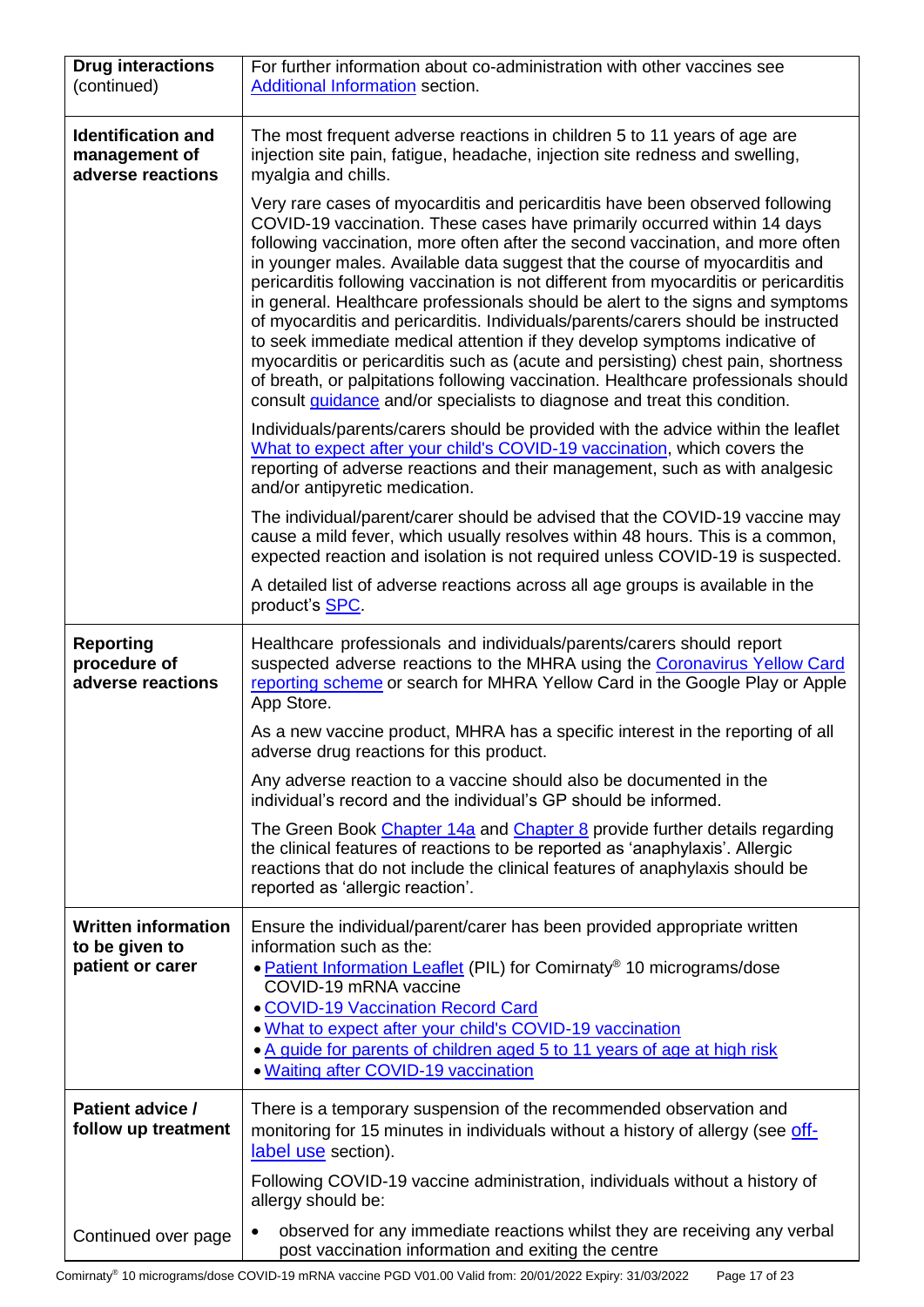| <b>Drug interactions</b><br>(continued)                          | For further information about co-administration with other vaccines see<br>Additional Information section.                                                                                                                                                                                                                                                                                                                                                                                                                                                                                                                                                                                                                                                                                                                                                                                                                         |
|------------------------------------------------------------------|------------------------------------------------------------------------------------------------------------------------------------------------------------------------------------------------------------------------------------------------------------------------------------------------------------------------------------------------------------------------------------------------------------------------------------------------------------------------------------------------------------------------------------------------------------------------------------------------------------------------------------------------------------------------------------------------------------------------------------------------------------------------------------------------------------------------------------------------------------------------------------------------------------------------------------|
| <b>Identification and</b><br>management of<br>adverse reactions  | The most frequent adverse reactions in children 5 to 11 years of age are<br>injection site pain, fatigue, headache, injection site redness and swelling,<br>myalgia and chills.                                                                                                                                                                                                                                                                                                                                                                                                                                                                                                                                                                                                                                                                                                                                                    |
|                                                                  | Very rare cases of myocarditis and pericarditis have been observed following<br>COVID-19 vaccination. These cases have primarily occurred within 14 days<br>following vaccination, more often after the second vaccination, and more often<br>in younger males. Available data suggest that the course of myocarditis and<br>pericarditis following vaccination is not different from myocarditis or pericarditis<br>in general. Healthcare professionals should be alert to the signs and symptoms<br>of myocarditis and pericarditis. Individuals/parents/carers should be instructed<br>to seek immediate medical attention if they develop symptoms indicative of<br>myocarditis or pericarditis such as (acute and persisting) chest pain, shortness<br>of breath, or palpitations following vaccination. Healthcare professionals should<br>consult <i>guidance</i> and/or specialists to diagnose and treat this condition. |
|                                                                  | Individuals/parents/carers should be provided with the advice within the leaflet<br>What to expect after your child's COVID-19 vaccination, which covers the<br>reporting of adverse reactions and their management, such as with analgesic<br>and/or antipyretic medication.                                                                                                                                                                                                                                                                                                                                                                                                                                                                                                                                                                                                                                                      |
|                                                                  | The individual/parent/carer should be advised that the COVID-19 vaccine may<br>cause a mild fever, which usually resolves within 48 hours. This is a common,<br>expected reaction and isolation is not required unless COVID-19 is suspected.                                                                                                                                                                                                                                                                                                                                                                                                                                                                                                                                                                                                                                                                                      |
|                                                                  | A detailed list of adverse reactions across all age groups is available in the<br>product's SPC.                                                                                                                                                                                                                                                                                                                                                                                                                                                                                                                                                                                                                                                                                                                                                                                                                                   |
| <b>Reporting</b><br>procedure of<br>adverse reactions            | Healthcare professionals and individuals/parents/carers should report<br>suspected adverse reactions to the MHRA using the Coronavirus Yellow Card<br>reporting scheme or search for MHRA Yellow Card in the Google Play or Apple<br>App Store.                                                                                                                                                                                                                                                                                                                                                                                                                                                                                                                                                                                                                                                                                    |
|                                                                  | As a new vaccine product, MHRA has a specific interest in the reporting of all<br>adverse drug reactions for this product.                                                                                                                                                                                                                                                                                                                                                                                                                                                                                                                                                                                                                                                                                                                                                                                                         |
|                                                                  | Any adverse reaction to a vaccine should also be documented in the<br>individual's record and the individual's GP should be informed.                                                                                                                                                                                                                                                                                                                                                                                                                                                                                                                                                                                                                                                                                                                                                                                              |
|                                                                  | The Green Book Chapter 14a and Chapter 8 provide further details regarding<br>the clinical features of reactions to be reported as 'anaphylaxis'. Allergic<br>reactions that do not include the clinical features of anaphylaxis should be<br>reported as 'allergic reaction'.                                                                                                                                                                                                                                                                                                                                                                                                                                                                                                                                                                                                                                                     |
| <b>Written information</b><br>to be given to<br>patient or carer | Ensure the individual/parent/carer has been provided appropriate written<br>information such as the:<br>• Patient Information Leaflet (PIL) for Comirnaty® 10 micrograms/dose<br>COVID-19 mRNA vaccine<br><b>. COVID-19 Vaccination Record Card</b><br>. What to expect after your child's COVID-19 vaccination<br>. A guide for parents of children aged 5 to 11 years of age at high risk<br>. Waiting after COVID-19 vaccination                                                                                                                                                                                                                                                                                                                                                                                                                                                                                                |
| Patient advice /<br>follow up treatment                          | There is a temporary suspension of the recommended observation and<br>monitoring for 15 minutes in individuals without a history of allergy (see off-<br>label use section).                                                                                                                                                                                                                                                                                                                                                                                                                                                                                                                                                                                                                                                                                                                                                       |
|                                                                  | Following COVID-19 vaccine administration, individuals without a history of<br>allergy should be:                                                                                                                                                                                                                                                                                                                                                                                                                                                                                                                                                                                                                                                                                                                                                                                                                                  |
| Continued over page                                              | observed for any immediate reactions whilst they are receiving any verbal<br>post vaccination information and exiting the centre                                                                                                                                                                                                                                                                                                                                                                                                                                                                                                                                                                                                                                                                                                                                                                                                   |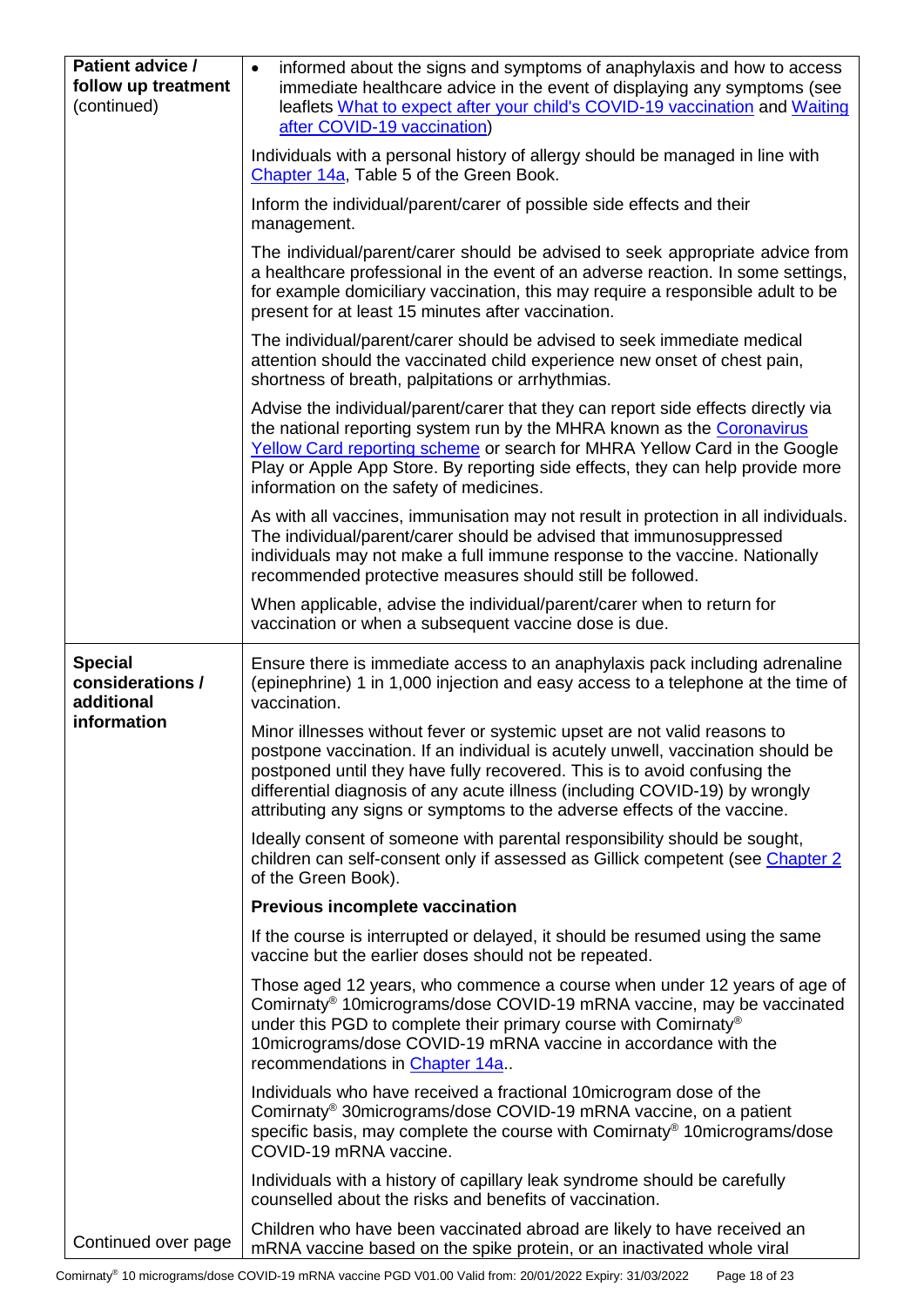<span id="page-17-0"></span>

| Patient advice /<br>follow up treatment<br>(continued)          | informed about the signs and symptoms of anaphylaxis and how to access<br>$\bullet$<br>immediate healthcare advice in the event of displaying any symptoms (see<br>leaflets What to expect after your child's COVID-19 vaccination and Waiting<br>after COVID-19 vaccination)                                                                                                                       |  |  |
|-----------------------------------------------------------------|-----------------------------------------------------------------------------------------------------------------------------------------------------------------------------------------------------------------------------------------------------------------------------------------------------------------------------------------------------------------------------------------------------|--|--|
|                                                                 | Individuals with a personal history of allergy should be managed in line with<br>Chapter 14a, Table 5 of the Green Book.                                                                                                                                                                                                                                                                            |  |  |
|                                                                 | Inform the individual/parent/carer of possible side effects and their<br>management.                                                                                                                                                                                                                                                                                                                |  |  |
|                                                                 | The individual/parent/carer should be advised to seek appropriate advice from<br>a healthcare professional in the event of an adverse reaction. In some settings,<br>for example domiciliary vaccination, this may require a responsible adult to be<br>present for at least 15 minutes after vaccination.                                                                                          |  |  |
|                                                                 | The individual/parent/carer should be advised to seek immediate medical<br>attention should the vaccinated child experience new onset of chest pain,<br>shortness of breath, palpitations or arrhythmias.                                                                                                                                                                                           |  |  |
|                                                                 | Advise the individual/parent/carer that they can report side effects directly via<br>the national reporting system run by the MHRA known as the Coronavirus<br>Yellow Card reporting scheme or search for MHRA Yellow Card in the Google<br>Play or Apple App Store. By reporting side effects, they can help provide more<br>information on the safety of medicines.                               |  |  |
|                                                                 | As with all vaccines, immunisation may not result in protection in all individuals.<br>The individual/parent/carer should be advised that immunosuppressed<br>individuals may not make a full immune response to the vaccine. Nationally<br>recommended protective measures should still be followed.                                                                                               |  |  |
|                                                                 | When applicable, advise the individual/parent/carer when to return for<br>vaccination or when a subsequent vaccine dose is due.                                                                                                                                                                                                                                                                     |  |  |
| <b>Special</b><br>considerations /<br>additional<br>information | Ensure there is immediate access to an anaphylaxis pack including adrenaline<br>(epinephrine) 1 in 1,000 injection and easy access to a telephone at the time of<br>vaccination.                                                                                                                                                                                                                    |  |  |
|                                                                 | Minor illnesses without fever or systemic upset are not valid reasons to<br>postpone vaccination. If an individual is acutely unwell, vaccination should be<br>postponed until they have fully recovered. This is to avoid confusing the<br>differential diagnosis of any acute illness (including COVID-19) by wrongly<br>attributing any signs or symptoms to the adverse effects of the vaccine. |  |  |
|                                                                 | Ideally consent of someone with parental responsibility should be sought,<br>children can self-consent only if assessed as Gillick competent (see Chapter 2)<br>of the Green Book).                                                                                                                                                                                                                 |  |  |
|                                                                 | Previous incomplete vaccination                                                                                                                                                                                                                                                                                                                                                                     |  |  |
|                                                                 | If the course is interrupted or delayed, it should be resumed using the same<br>vaccine but the earlier doses should not be repeated.                                                                                                                                                                                                                                                               |  |  |
|                                                                 | Those aged 12 years, who commence a course when under 12 years of age of<br>Comirnaty <sup>®</sup> 10micrograms/dose COVID-19 mRNA vaccine, may be vaccinated<br>under this PGD to complete their primary course with Comirnaty <sup>®</sup><br>10 micrograms/dose COVID-19 mRNA vaccine in accordance with the<br>recommendations in Chapter 14a                                                   |  |  |
|                                                                 | Individuals who have received a fractional 10 microgram dose of the<br>Comirnaty <sup>®</sup> 30micrograms/dose COVID-19 mRNA vaccine, on a patient<br>specific basis, may complete the course with Comirnaty® 10micrograms/dose<br>COVID-19 mRNA vaccine.                                                                                                                                          |  |  |
|                                                                 | Individuals with a history of capillary leak syndrome should be carefully<br>counselled about the risks and benefits of vaccination.                                                                                                                                                                                                                                                                |  |  |
| Continued over page                                             | Children who have been vaccinated abroad are likely to have received an<br>mRNA vaccine based on the spike protein, or an inactivated whole viral                                                                                                                                                                                                                                                   |  |  |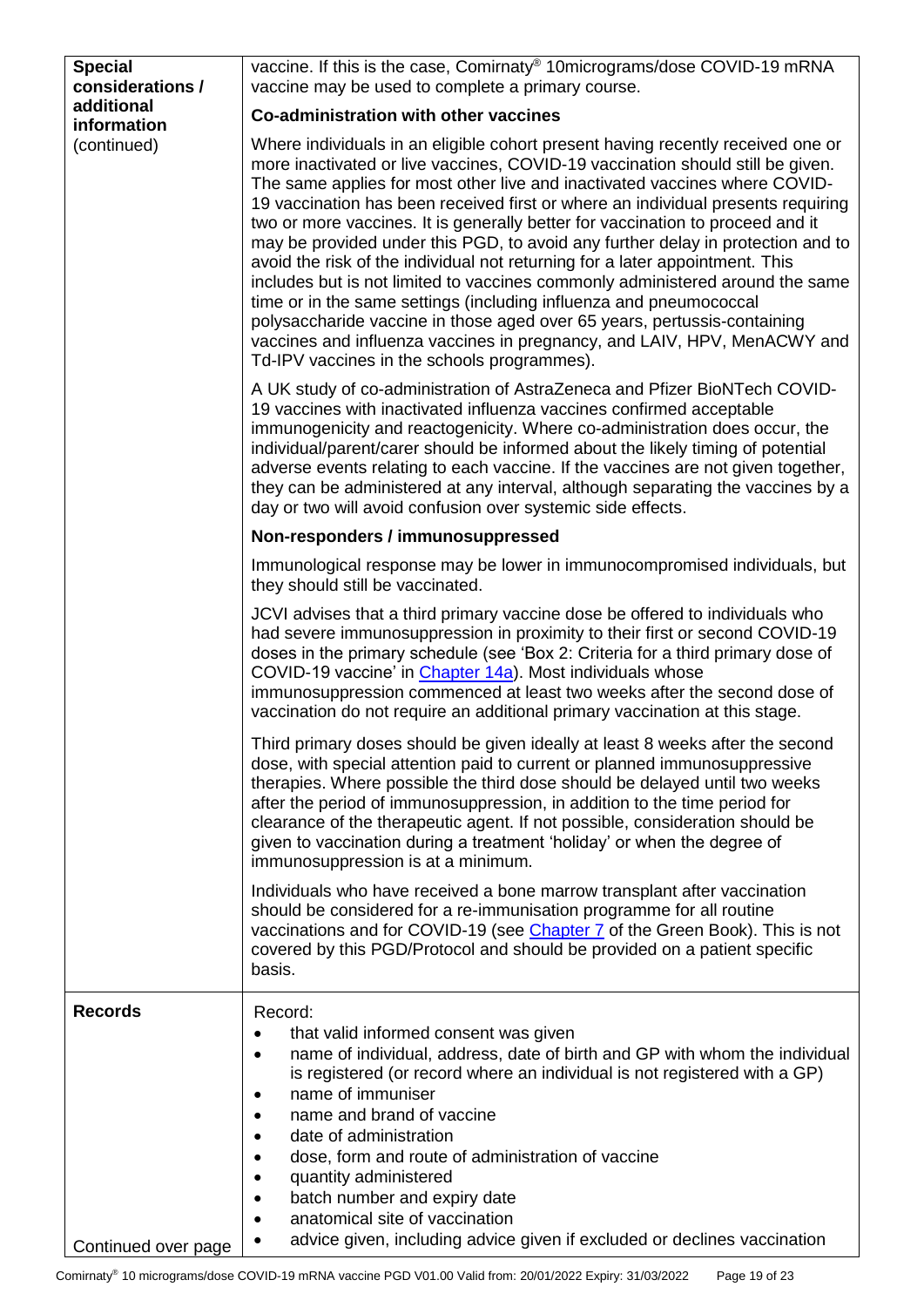<span id="page-18-1"></span><span id="page-18-0"></span>

| <b>Special</b><br>considerations / | vaccine. If this is the case, Comirnaty® 10micrograms/dose COVID-19 mRNA<br>vaccine may be used to complete a primary course.                                                                                                                                                                                                                                                                                                                                                                                                                                                                                                                                                                                                                                                                                                                                                                                                                          |  |  |  |  |
|------------------------------------|--------------------------------------------------------------------------------------------------------------------------------------------------------------------------------------------------------------------------------------------------------------------------------------------------------------------------------------------------------------------------------------------------------------------------------------------------------------------------------------------------------------------------------------------------------------------------------------------------------------------------------------------------------------------------------------------------------------------------------------------------------------------------------------------------------------------------------------------------------------------------------------------------------------------------------------------------------|--|--|--|--|
| additional<br>information          | Co-administration with other vaccines                                                                                                                                                                                                                                                                                                                                                                                                                                                                                                                                                                                                                                                                                                                                                                                                                                                                                                                  |  |  |  |  |
| (continued)                        | Where individuals in an eligible cohort present having recently received one or<br>more inactivated or live vaccines, COVID-19 vaccination should still be given.<br>The same applies for most other live and inactivated vaccines where COVID-<br>19 vaccination has been received first or where an individual presents requiring<br>two or more vaccines. It is generally better for vaccination to proceed and it<br>may be provided under this PGD, to avoid any further delay in protection and to<br>avoid the risk of the individual not returning for a later appointment. This<br>includes but is not limited to vaccines commonly administered around the same<br>time or in the same settings (including influenza and pneumococcal<br>polysaccharide vaccine in those aged over 65 years, pertussis-containing<br>vaccines and influenza vaccines in pregnancy, and LAIV, HPV, MenACWY and<br>Td-IPV vaccines in the schools programmes). |  |  |  |  |
|                                    | A UK study of co-administration of AstraZeneca and Pfizer BioNTech COVID-<br>19 vaccines with inactivated influenza vaccines confirmed acceptable<br>immunogenicity and reactogenicity. Where co-administration does occur, the<br>individual/parent/carer should be informed about the likely timing of potential<br>adverse events relating to each vaccine. If the vaccines are not given together,<br>they can be administered at any interval, although separating the vaccines by a<br>day or two will avoid confusion over systemic side effects.                                                                                                                                                                                                                                                                                                                                                                                               |  |  |  |  |
|                                    | Non-responders / immunosuppressed                                                                                                                                                                                                                                                                                                                                                                                                                                                                                                                                                                                                                                                                                                                                                                                                                                                                                                                      |  |  |  |  |
|                                    | Immunological response may be lower in immunocompromised individuals, but<br>they should still be vaccinated.                                                                                                                                                                                                                                                                                                                                                                                                                                                                                                                                                                                                                                                                                                                                                                                                                                          |  |  |  |  |
|                                    | JCVI advises that a third primary vaccine dose be offered to individuals who<br>had severe immunosuppression in proximity to their first or second COVID-19<br>doses in the primary schedule (see 'Box 2: Criteria for a third primary dose of<br>COVID-19 vaccine' in Chapter 14a). Most individuals whose<br>immunosuppression commenced at least two weeks after the second dose of<br>vaccination do not require an additional primary vaccination at this stage.                                                                                                                                                                                                                                                                                                                                                                                                                                                                                  |  |  |  |  |
|                                    | Third primary doses should be given ideally at least 8 weeks after the second<br>dose, with special attention paid to current or planned immunosuppressive<br>therapies. Where possible the third dose should be delayed until two weeks<br>after the period of immunosuppression, in addition to the time period for<br>clearance of the therapeutic agent. If not possible, consideration should be<br>given to vaccination during a treatment 'holiday' or when the degree of<br>immunosuppression is at a minimum.                                                                                                                                                                                                                                                                                                                                                                                                                                 |  |  |  |  |
|                                    | Individuals who have received a bone marrow transplant after vaccination<br>should be considered for a re-immunisation programme for all routine<br>vaccinations and for COVID-19 (see <i>Chapter 7</i> of the Green Book). This is not<br>covered by this PGD/Protocol and should be provided on a patient specific<br>basis.                                                                                                                                                                                                                                                                                                                                                                                                                                                                                                                                                                                                                         |  |  |  |  |
| <b>Records</b>                     | Record:<br>that valid informed consent was given<br>name of individual, address, date of birth and GP with whom the individual<br>is registered (or record where an individual is not registered with a GP)<br>name of immuniser<br>name and brand of vaccine<br>date of administration<br>dose, form and route of administration of vaccine<br>quantity administered<br>batch number and expiry date<br>anatomical site of vaccination<br>advice given, including advice given if excluded or declines vaccination                                                                                                                                                                                                                                                                                                                                                                                                                                    |  |  |  |  |
| Continued over page                |                                                                                                                                                                                                                                                                                                                                                                                                                                                                                                                                                                                                                                                                                                                                                                                                                                                                                                                                                        |  |  |  |  |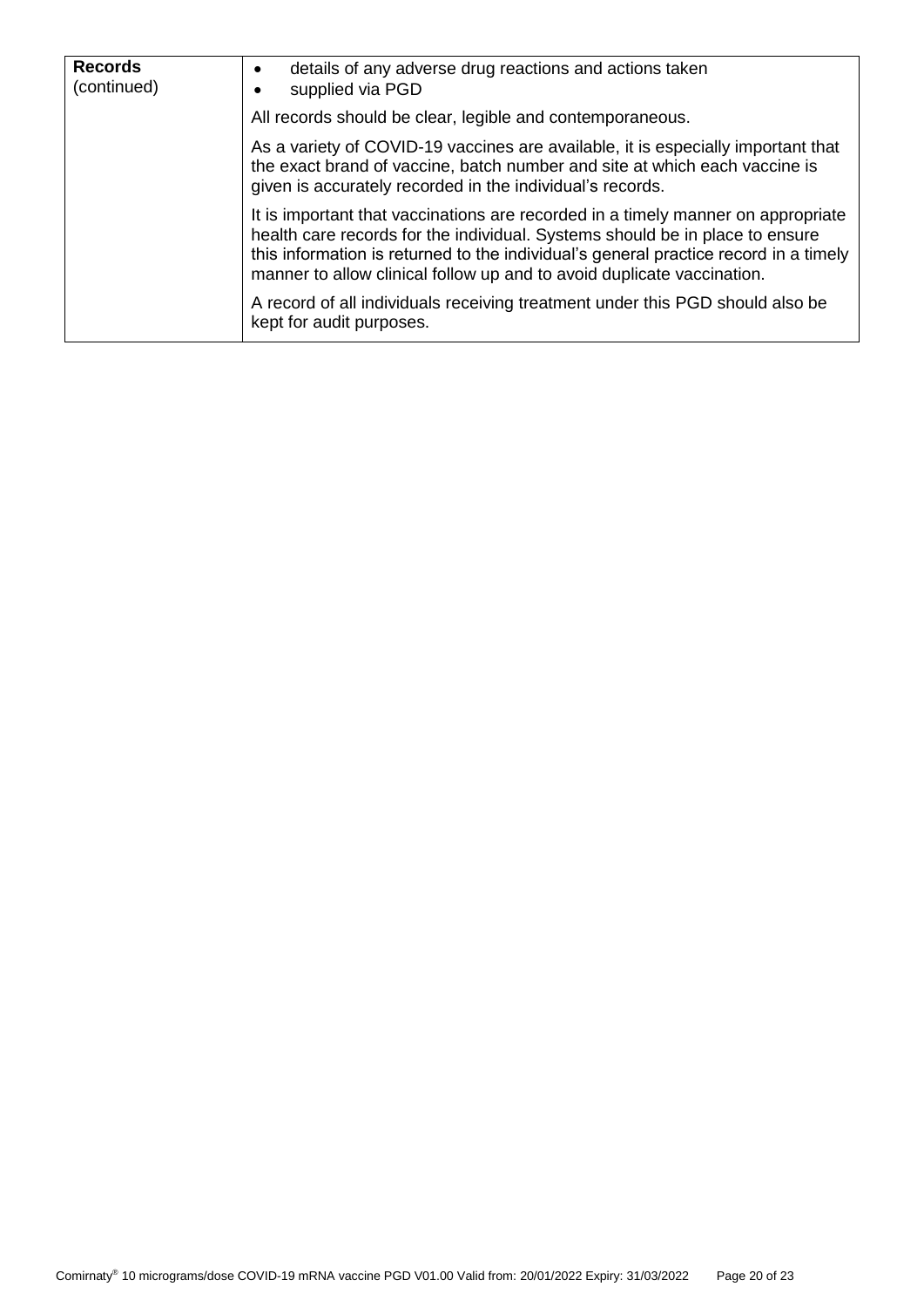| <b>Records</b><br>(continued) | details of any adverse drug reactions and actions taken<br>supplied via PGD                                                                                                                                                                                                                                                        |  |  |
|-------------------------------|------------------------------------------------------------------------------------------------------------------------------------------------------------------------------------------------------------------------------------------------------------------------------------------------------------------------------------|--|--|
|                               | All records should be clear, legible and contemporaneous.                                                                                                                                                                                                                                                                          |  |  |
|                               | As a variety of COVID-19 vaccines are available, it is especially important that<br>the exact brand of vaccine, batch number and site at which each vaccine is<br>given is accurately recorded in the individual's records.                                                                                                        |  |  |
|                               | It is important that vaccinations are recorded in a timely manner on appropriate<br>health care records for the individual. Systems should be in place to ensure<br>this information is returned to the individual's general practice record in a timely<br>manner to allow clinical follow up and to avoid duplicate vaccination. |  |  |
|                               | A record of all individuals receiving treatment under this PGD should also be<br>kept for audit purposes.                                                                                                                                                                                                                          |  |  |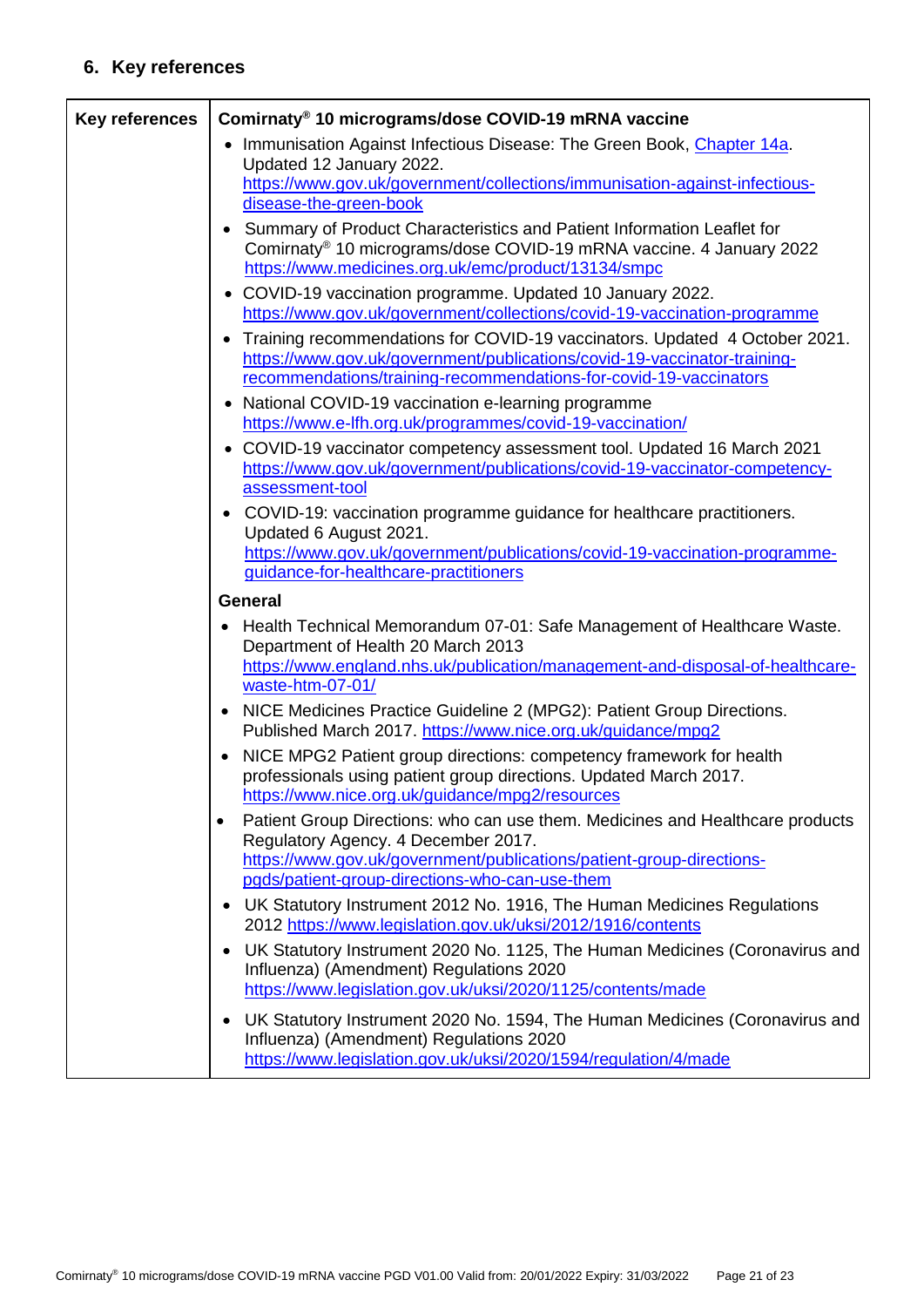# **6. Key references**

<span id="page-20-0"></span>

| <b>Key references</b> | Comirnaty® 10 micrograms/dose COVID-19 mRNA vaccine                                                                                                                                                                                                         |
|-----------------------|-------------------------------------------------------------------------------------------------------------------------------------------------------------------------------------------------------------------------------------------------------------|
|                       | Immunisation Against Infectious Disease: The Green Book, Chapter 14a.<br>$\bullet$<br>Updated 12 January 2022.<br>https://www.gov.uk/government/collections/immunisation-against-infectious-<br>disease-the-green-book                                      |
|                       | Summary of Product Characteristics and Patient Information Leaflet for<br>Comirnaty® 10 micrograms/dose COVID-19 mRNA vaccine. 4 January 2022<br>https://www.medicines.org.uk/emc/product/13134/smpc                                                        |
|                       | • COVID-19 vaccination programme. Updated 10 January 2022.<br>https://www.gov.uk/government/collections/covid-19-vaccination-programme                                                                                                                      |
|                       | Training recommendations for COVID-19 vaccinators. Updated 4 October 2021.<br>$\bullet$<br>https://www.gov.uk/government/publications/covid-19-vaccinator-training-<br>recommendations/training-recommendations-for-covid-19-vaccinators                    |
|                       | National COVID-19 vaccination e-learning programme<br>$\bullet$<br>https://www.e-lfh.org.uk/programmes/covid-19-vaccination/                                                                                                                                |
|                       | COVID-19 vaccinator competency assessment tool. Updated 16 March 2021<br>$\bullet$<br>https://www.gov.uk/government/publications/covid-19-vaccinator-competency-<br>assessment-tool                                                                         |
|                       | COVID-19: vaccination programme guidance for healthcare practitioners.<br>٠<br>Updated 6 August 2021.<br>https://www.gov.uk/government/publications/covid-19-vaccination-programme-                                                                         |
|                       | guidance-for-healthcare-practitioners                                                                                                                                                                                                                       |
|                       | <b>General</b>                                                                                                                                                                                                                                              |
|                       | Health Technical Memorandum 07-01: Safe Management of Healthcare Waste.<br>Department of Health 20 March 2013                                                                                                                                               |
|                       | https://www.england.nhs.uk/publication/management-and-disposal-of-healthcare-<br>waste-htm-07-01/                                                                                                                                                           |
|                       | NICE Medicines Practice Guideline 2 (MPG2): Patient Group Directions.<br>$\bullet$<br>Published March 2017. https://www.nice.org.uk/guidance/mpg2                                                                                                           |
|                       | NICE MPG2 Patient group directions: competency framework for health<br>$\bullet$<br>professionals using patient group directions. Updated March 2017.<br>https://www.nice.org.uk/guidance/mpg2/resources                                                    |
|                       | Patient Group Directions: who can use them. Medicines and Healthcare products<br>$\bullet$<br>Regulatory Agency. 4 December 2017.<br>https://www.gov.uk/government/publications/patient-group-directions-<br>pgds/patient-group-directions-who-can-use-them |
|                       | UK Statutory Instrument 2012 No. 1916, The Human Medicines Regulations<br>$\bullet$<br>2012 https://www.legislation.gov.uk/uksi/2012/1916/contents                                                                                                          |
|                       | UK Statutory Instrument 2020 No. 1125, The Human Medicines (Coronavirus and<br>٠<br>Influenza) (Amendment) Regulations 2020<br>https://www.legislation.gov.uk/uksi/2020/1125/contents/made                                                                  |
|                       | UK Statutory Instrument 2020 No. 1594, The Human Medicines (Coronavirus and<br>$\bullet$<br>Influenza) (Amendment) Regulations 2020<br>https://www.legislation.gov.uk/uksi/2020/1594/regulation/4/made                                                      |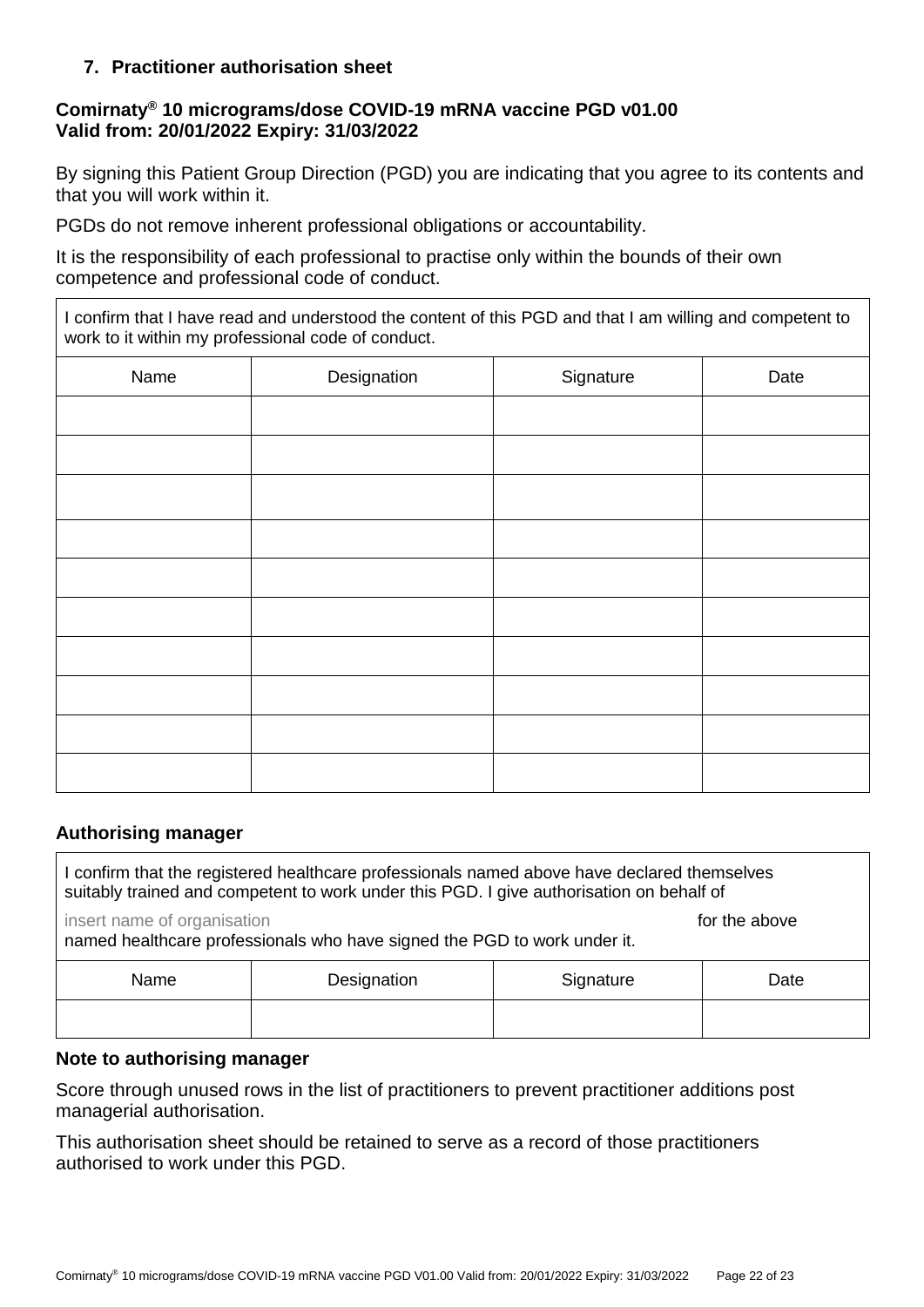### **7. Practitioner authorisation sheet**

### **Comirnaty® 10 micrograms/dose COVID-19 mRNA vaccine PGD v01.00 Valid from: 20/01/2022 Expiry: 31/03/2022**

By signing this Patient Group Direction (PGD) you are indicating that you agree to its contents and that you will work within it.

PGDs do not remove inherent professional obligations or accountability.

It is the responsibility of each professional to practise only within the bounds of their own competence and professional code of conduct.

I confirm that I have read and understood the content of this PGD and that I am willing and competent to work to it within my professional code of conduct.

| Name | Designation | Signature | Date |
|------|-------------|-----------|------|
|      |             |           |      |
|      |             |           |      |
|      |             |           |      |
|      |             |           |      |
|      |             |           |      |
|      |             |           |      |
|      |             |           |      |
|      |             |           |      |
|      |             |           |      |
|      |             |           |      |

#### **Authorising manager**

| I confirm that the registered healthcare professionals named above have declared themselves<br>suitably trained and competent to work under this PGD. I give authorisation on behalf of |             |           |      |
|-----------------------------------------------------------------------------------------------------------------------------------------------------------------------------------------|-------------|-----------|------|
| insert name of organisation<br>for the above<br>named healthcare professionals who have signed the PGD to work under it.                                                                |             |           |      |
| Name                                                                                                                                                                                    | Designation | Signature | Date |
|                                                                                                                                                                                         |             |           |      |

### **Note to authorising manager**

Score through unused rows in the list of practitioners to prevent practitioner additions post managerial authorisation.

This authorisation sheet should be retained to serve as a record of those practitioners authorised to work under this PGD.